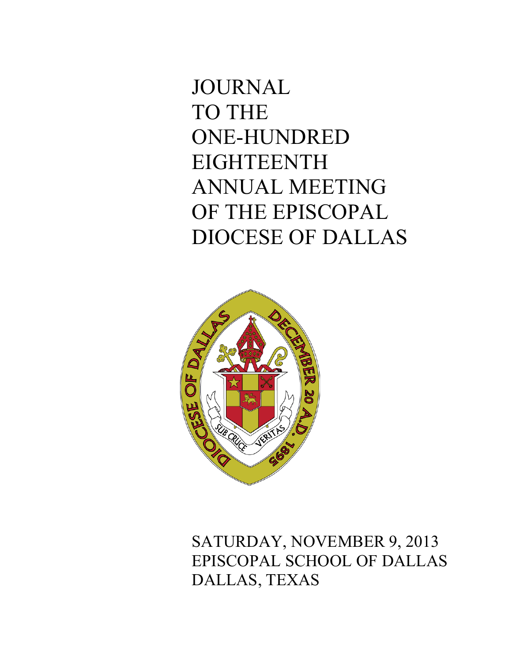# JOURNAL TO THE ONE-HUNDRED EIGHTEENTH ANNUAL MEETING OF THE EPISCOPAL DIOCESE OF DALLAS



SATURDAY, NOVEMBER 9, 2013 EPISCOPAL SCHOOL OF DALLAS DALLAS, TEXAS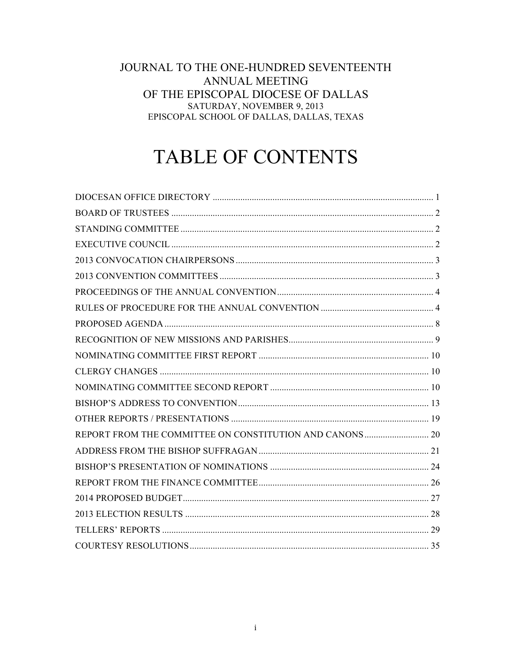# JOURNAL TO THE ONE-HUNDRED SEVENTEENTH **ANNUAL MEETING** OF THE EPISCOPAL DIOCESE OF DALLAS SATURDAY, NOVEMBER 9, 2013 EPISCOPAL SCHOOL OF DALLAS, DALLAS, TEXAS

# TABLE OF CONTENTS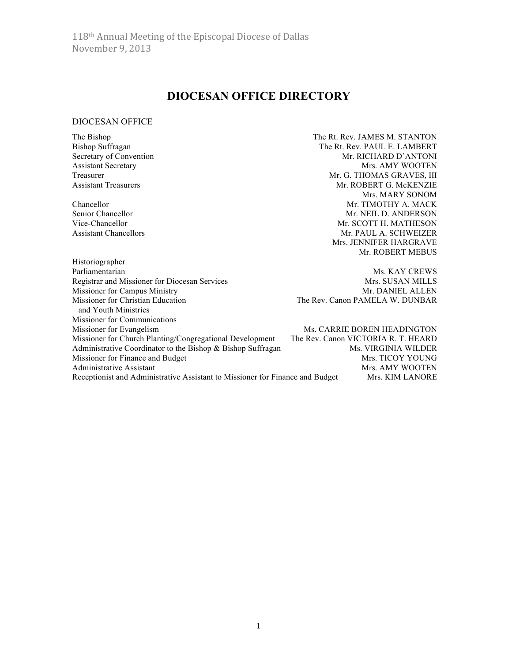# **DIOCESAN OFFICE DIRECTORY**

# DIOCESAN OFFICE

| The Bishop                                                                    | The Rt. Rev. JAMES M. STANTON       |  |
|-------------------------------------------------------------------------------|-------------------------------------|--|
| <b>Bishop Suffragan</b>                                                       | The Rt. Rev. PAUL E. LAMBERT        |  |
| Secretary of Convention                                                       | Mr. RICHARD D'ANTONI                |  |
| <b>Assistant Secretary</b>                                                    | Mrs. AMY WOOTEN                     |  |
| Treasurer                                                                     | Mr. G. THOMAS GRAVES, III           |  |
| <b>Assistant Treasurers</b>                                                   | Mr. ROBERT G. McKENZIE              |  |
|                                                                               | Mrs. MARY SONOM                     |  |
| Chancellor                                                                    | Mr. TIMOTHY A. MACK                 |  |
| Senior Chancellor                                                             | Mr. NEIL D. ANDERSON                |  |
| Vice-Chancellor                                                               | Mr. SCOTT H. MATHESON               |  |
| <b>Assistant Chancellors</b>                                                  | Mr. PAUL A. SCHWEIZER               |  |
|                                                                               | Mrs. JENNIFER HARGRAVE              |  |
|                                                                               | Mr. ROBERT MEBUS                    |  |
| Historiographer                                                               |                                     |  |
| Parliamentarian                                                               | Ms. KAY CREWS                       |  |
| Registrar and Missioner for Diocesan Services                                 | Mrs. SUSAN MILLS                    |  |
| Missioner for Campus Ministry                                                 | Mr. DANIEL ALLEN                    |  |
| Missioner for Christian Education                                             | The Rev. Canon PAMELA W. DUNBAR     |  |
| and Youth Ministries                                                          |                                     |  |
| <b>Missioner for Communications</b>                                           |                                     |  |
| Missioner for Evangelism                                                      | Ms. CARRIE BOREN HEADINGTON         |  |
| Missioner for Church Planting/Congregational Development                      | The Rev. Canon VICTORIA R. T. HEARD |  |
| Administrative Coordinator to the Bishop & Bishop Suffragan                   | Ms. VIRGINIA WILDER                 |  |
| Missioner for Finance and Budget                                              | Mrs. TICOY YOUNG                    |  |
| Administrative Assistant                                                      | Mrs. AMY WOOTEN                     |  |
| Receptionist and Administrative Assistant to Missioner for Finance and Budget | <b>Mrs. KIM LANORE</b>              |  |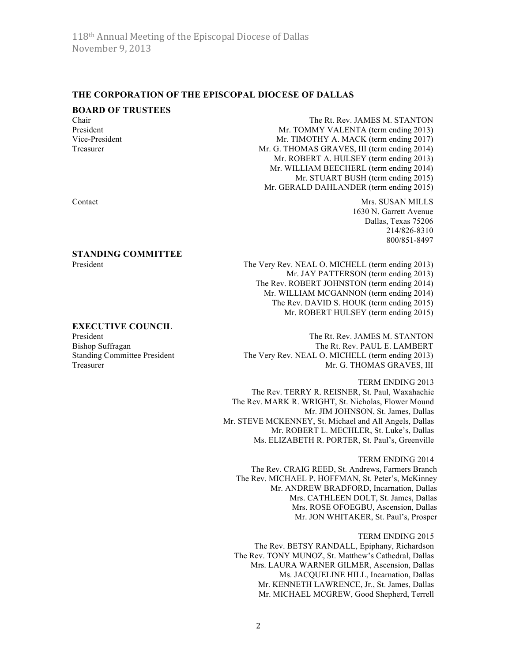# **THE CORPORATION OF THE EPISCOPAL DIOCESE OF DALLAS**

## **BOARD OF TRUSTEES**

Chair The Rt. Rev. JAMES M. STANTON<br>President Mr TOMMY VALENTA (term ending 2013) Mr. TOMMY VALENTA (term ending 2013) Vice-President Mr. TIMOTHY A. MACK (term ending 2017) Treasurer Mr. G. THOMAS GRAVES, III (term ending 2014) Mr. ROBERT A. HULSEY (term ending 2013) Mr. WILLIAM BEECHERL (term ending 2014) Mr. STUART BUSH (term ending 2015) Mr. GERALD DAHLANDER (term ending 2015)

Contact Mrs. SUSAN MILLS 1630 N. Garrett Avenue Dallas, Texas 75206 214/826-8310 800/851-8497

President The Very Rev. NEAL O. MICHELL (term ending 2013) Mr. JAY PATTERSON (term ending 2013) The Rev. ROBERT JOHNSTON (term ending 2014) Mr. WILLIAM MCGANNON (term ending 2014) The Rev. DAVID S. HOUK (term ending 2015) Mr. ROBERT HULSEY (term ending 2015)

#### **EXECUTIVE COUNCIL**

**STANDING COMMITTEE**

President The Rt. Rev. JAMES M. STANTON Bishop Suffragan The Rt. Rev. PAUL E. LAMBERT Standing Committee President The Very Rev. NEAL O. MICHELL (term ending 2013) Treasurer Mr. G. THOMAS GRAVES, III

> TERM ENDING 2013 The Rev. TERRY R. REISNER, St. Paul, Waxahachie The Rev. MARK R. WRIGHT, St. Nicholas, Flower Mound Mr. JIM JOHNSON, St. James, Dallas Mr. STEVE MCKENNEY, St. Michael and All Angels, Dallas Mr. ROBERT L. MECHLER, St. Luke's, Dallas Ms. ELIZABETH R. PORTER, St. Paul's, Greenville

TERM ENDING 2014 The Rev. CRAIG REED, St. Andrews, Farmers Branch The Rev. MICHAEL P. HOFFMAN, St. Peter's, McKinney Mr. ANDREW BRADFORD, Incarnation, Dallas Mrs. CATHLEEN DOLT, St. James, Dallas Mrs. ROSE OFOEGBU, Ascension, Dallas Mr. JON WHITAKER, St. Paul's, Prosper

TERM ENDING 2015 The Rev. BETSY RANDALL, Epiphany, Richardson The Rev. TONY MUNOZ, St. Matthew's Cathedral, Dallas Mrs. LAURA WARNER GILMER, Ascension, Dallas Ms. JACQUELINE HILL, Incarnation, Dallas Mr. KENNETH LAWRENCE, Jr., St. James, Dallas Mr. MICHAEL MCGREW, Good Shepherd, Terrell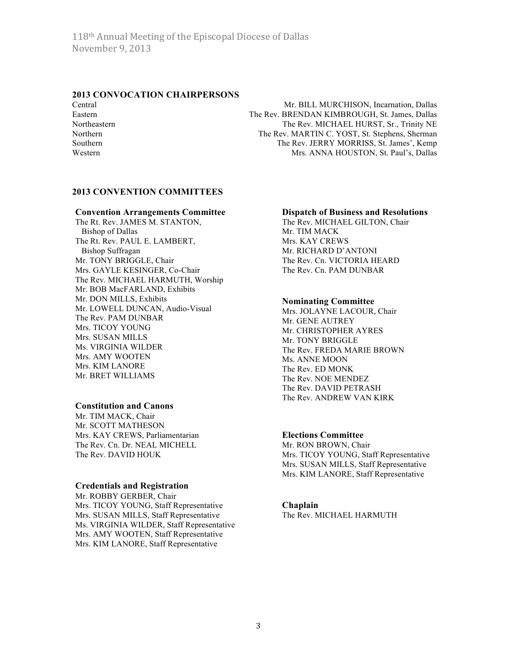# **2013 CONVOCATION CHAIRPERSONS**

Central Mr. BILL MURCHISON, Incarnation, Dallas Eastern The Rev. BRENDAN KIMBROUGH, St. James, Dallas Northeastern The Rev. MICHAEL HURST, Sr., Trinity NE Northern The Rev. MARTIN C. YOST, St. Stephens, Sherman Southern The Rev. JERRY MORRISS, St. James', Kemp Western Mrs. ANNA HOUSTON, St. Paul's, Dallas

### **2013 CONVENTION COMMITTEES**

#### **Convention Arrangements Committee**

The Rt. Rev. JAMES M. STANTON, Bishop of Dallas The Rt. Rev. PAUL E. LAMBERT, Bishop Suffragan Mr. TONY BRIGGLE, Chair Mrs. GAYLE KESINGER, Co-Chair The Rev. MICHAEL HARMUTH, Worship Mr. BOB MacFARLAND, Exhibits Mr. DON MILLS, Exhibits Mr. LOWELL DUNCAN, Audio-Visual The Rev. PAM DUNBAR Mrs. TICOY YOUNG Mrs. SUSAN MILLS Ms. VIRGINIA WILDER Mrs. AMY WOOTEN Mrs. KIM LANORE Mr. BRET WILLIAMS

### **Constitution and Canons**

Mr. TIM MACK, Chair Mr. SCOTT MATHESON Mrs. KAY CREWS, Parliamentarian The Rev. Cn. Dr. NEAL MICHELL The Rev. DAVID HOUK

#### **Credentials and Registration**

Mr. ROBBY GERBER, Chair Mrs. TICOY YOUNG, Staff Representative Mrs. SUSAN MILLS, Staff Representative Ms. VIRGINIA WILDER, Staff Representative Mrs. AMY WOOTEN, Staff Representative Mrs. KIM LANORE, Staff Representative

#### **Dispatch of Business and Resolutions**

The Rev. MICHAEL GILTON, Chair Mr. TIM MACK Mrs. KAY CREWS Mr. RICHARD D'ANTONI The Rev. Cn. VICTORIA HEARD The Rev. Cn. PAM DUNBAR

### **Nominating Committee**

Mrs. JOLAYNE LACOUR, Chair Mr. GENE AUTREY Mr. CHRISTOPHER AYRES Mr. TONY BRIGGLE The Rev. FREDA MARIE BROWN Ms. ANNE MOON The Rev. ED MONK The Rev. NOE MENDEZ The Rev. DAVID PETRASH The Rev. ANDREW VAN KIRK

#### **Elections Committee**

Mr. RON BROWN, Chair Mrs. TICOY YOUNG, Staff Representative Mrs. SUSAN MILLS, Staff Representative Mrs. KIM LANORE, Staff Representative

#### **Chaplain**

The Rev. MICHAEL HARMUTH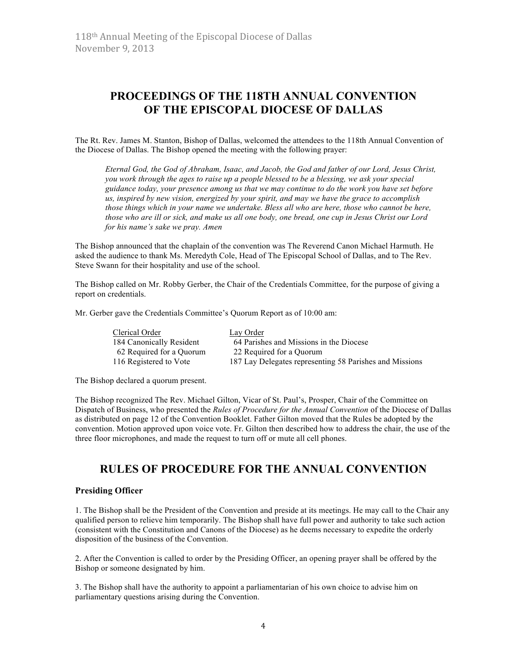# **PROCEEDINGS OF THE 118TH ANNUAL CONVENTION OF THE EPISCOPAL DIOCESE OF DALLAS**

The Rt. Rev. James M. Stanton, Bishop of Dallas, welcomed the attendees to the 118th Annual Convention of the Diocese of Dallas. The Bishop opened the meeting with the following prayer:

*Eternal God, the God of Abraham, Isaac, and Jacob, the God and father of our Lord, Jesus Christ, you work through the ages to raise up a people blessed to be a blessing, we ask your special guidance today, your presence among us that we may continue to do the work you have set before us, inspired by new vision, energized by your spirit, and may we have the grace to accomplish those things which in your name we undertake. Bless all who are here, those who cannot be here, those who are ill or sick, and make us all one body, one bread, one cup in Jesus Christ our Lord for his name's sake we pray. Amen*

The Bishop announced that the chaplain of the convention was The Reverend Canon Michael Harmuth. He asked the audience to thank Ms. Meredyth Cole, Head of The Episcopal School of Dallas, and to The Rev. Steve Swann for their hospitality and use of the school.

The Bishop called on Mr. Robby Gerber, the Chair of the Credentials Committee, for the purpose of giving a report on credentials.

Mr. Gerber gave the Credentials Committee's Quorum Report as of 10:00 am:

| Clerical Order           | Lay Order                                               |
|--------------------------|---------------------------------------------------------|
| 184 Canonically Resident | 64 Parishes and Missions in the Diocese                 |
| 62 Required for a Quorum | 22 Required for a Quorum                                |
| 116 Registered to Vote   | 187 Lay Delegates representing 58 Parishes and Missions |
|                          |                                                         |

The Bishop declared a quorum present.

The Bishop recognized The Rev. Michael Gilton, Vicar of St. Paul's, Prosper, Chair of the Committee on Dispatch of Business, who presented the *Rules of Procedure for the Annual Convention* of the Diocese of Dallas as distributed on page 12 of the Convention Booklet. Father Gilton moved that the Rules be adopted by the convention. Motion approved upon voice vote. Fr. Gilton then described how to address the chair, the use of the three floor microphones, and made the request to turn off or mute all cell phones.

# **RULES OF PROCEDURE FOR THE ANNUAL CONVENTION**

#### **Presiding Officer**

1. The Bishop shall be the President of the Convention and preside at its meetings. He may call to the Chair any qualified person to relieve him temporarily. The Bishop shall have full power and authority to take such action (consistent with the Constitution and Canons of the Diocese) as he deems necessary to expedite the orderly disposition of the business of the Convention.

2. After the Convention is called to order by the Presiding Officer, an opening prayer shall be offered by the Bishop or someone designated by him.

3. The Bishop shall have the authority to appoint a parliamentarian of his own choice to advise him on parliamentary questions arising during the Convention.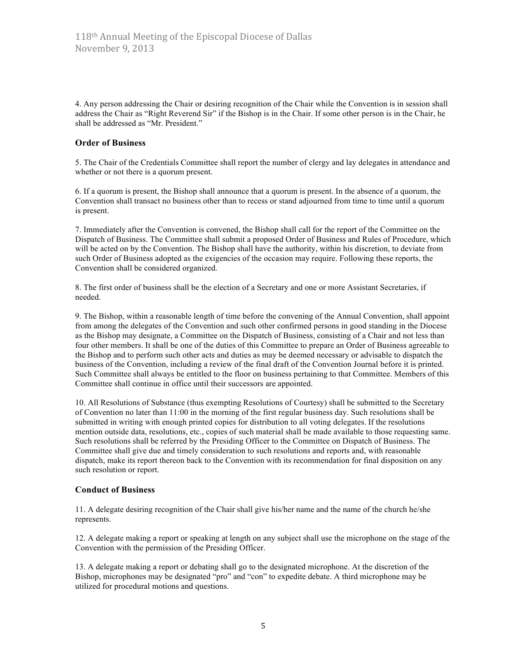4. Any person addressing the Chair or desiring recognition of the Chair while the Convention is in session shall address the Chair as "Right Reverend Sir" if the Bishop is in the Chair. If some other person is in the Chair, he shall be addressed as "Mr. President."

#### **Order of Business**

5. The Chair of the Credentials Committee shall report the number of clergy and lay delegates in attendance and whether or not there is a quorum present.

6. If a quorum is present, the Bishop shall announce that a quorum is present. In the absence of a quorum, the Convention shall transact no business other than to recess or stand adjourned from time to time until a quorum is present.

7. Immediately after the Convention is convened, the Bishop shall call for the report of the Committee on the Dispatch of Business. The Committee shall submit a proposed Order of Business and Rules of Procedure, which will be acted on by the Convention. The Bishop shall have the authority, within his discretion, to deviate from such Order of Business adopted as the exigencies of the occasion may require. Following these reports, the Convention shall be considered organized.

8. The first order of business shall be the election of a Secretary and one or more Assistant Secretaries, if needed.

9. The Bishop, within a reasonable length of time before the convening of the Annual Convention, shall appoint from among the delegates of the Convention and such other confirmed persons in good standing in the Diocese as the Bishop may designate, a Committee on the Dispatch of Business, consisting of a Chair and not less than four other members. It shall be one of the duties of this Committee to prepare an Order of Business agreeable to the Bishop and to perform such other acts and duties as may be deemed necessary or advisable to dispatch the business of the Convention, including a review of the final draft of the Convention Journal before it is printed. Such Committee shall always be entitled to the floor on business pertaining to that Committee. Members of this Committee shall continue in office until their successors are appointed.

10. All Resolutions of Substance (thus exempting Resolutions of Courtesy) shall be submitted to the Secretary of Convention no later than 11:00 in the morning of the first regular business day. Such resolutions shall be submitted in writing with enough printed copies for distribution to all voting delegates. If the resolutions mention outside data, resolutions, etc., copies of such material shall be made available to those requesting same. Such resolutions shall be referred by the Presiding Officer to the Committee on Dispatch of Business. The Committee shall give due and timely consideration to such resolutions and reports and, with reasonable dispatch, make its report thereon back to the Convention with its recommendation for final disposition on any such resolution or report.

### **Conduct of Business**

11. A delegate desiring recognition of the Chair shall give his/her name and the name of the church he/she represents.

12. A delegate making a report or speaking at length on any subject shall use the microphone on the stage of the Convention with the permission of the Presiding Officer.

13. A delegate making a report or debating shall go to the designated microphone. At the discretion of the Bishop, microphones may be designated "pro" and "con" to expedite debate. A third microphone may be utilized for procedural motions and questions.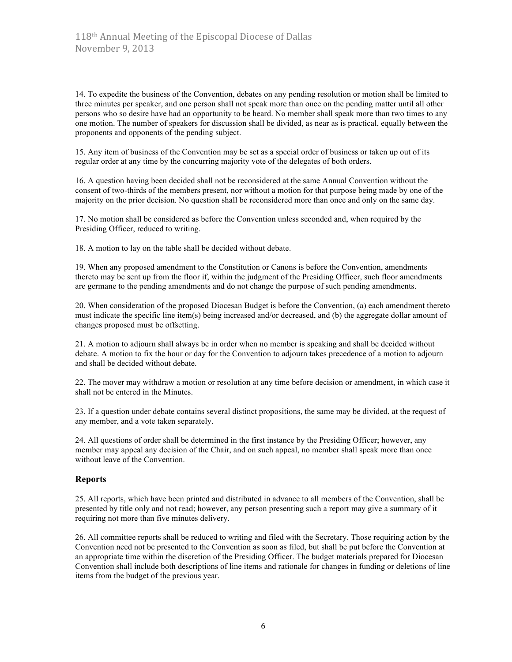14. To expedite the business of the Convention, debates on any pending resolution or motion shall be limited to three minutes per speaker, and one person shall not speak more than once on the pending matter until all other persons who so desire have had an opportunity to be heard. No member shall speak more than two times to any one motion. The number of speakers for discussion shall be divided, as near as is practical, equally between the proponents and opponents of the pending subject.

15. Any item of business of the Convention may be set as a special order of business or taken up out of its regular order at any time by the concurring majority vote of the delegates of both orders.

16. A question having been decided shall not be reconsidered at the same Annual Convention without the consent of two-thirds of the members present, nor without a motion for that purpose being made by one of the majority on the prior decision. No question shall be reconsidered more than once and only on the same day.

17. No motion shall be considered as before the Convention unless seconded and, when required by the Presiding Officer, reduced to writing.

18. A motion to lay on the table shall be decided without debate.

19. When any proposed amendment to the Constitution or Canons is before the Convention, amendments thereto may be sent up from the floor if, within the judgment of the Presiding Officer, such floor amendments are germane to the pending amendments and do not change the purpose of such pending amendments.

20. When consideration of the proposed Diocesan Budget is before the Convention, (a) each amendment thereto must indicate the specific line item(s) being increased and/or decreased, and (b) the aggregate dollar amount of changes proposed must be offsetting.

21. A motion to adjourn shall always be in order when no member is speaking and shall be decided without debate. A motion to fix the hour or day for the Convention to adjourn takes precedence of a motion to adjourn and shall be decided without debate.

22. The mover may withdraw a motion or resolution at any time before decision or amendment, in which case it shall not be entered in the Minutes.

23. If a question under debate contains several distinct propositions, the same may be divided, at the request of any member, and a vote taken separately.

24. All questions of order shall be determined in the first instance by the Presiding Officer; however, any member may appeal any decision of the Chair, and on such appeal, no member shall speak more than once without leave of the Convention.

#### **Reports**

25. All reports, which have been printed and distributed in advance to all members of the Convention, shall be presented by title only and not read; however, any person presenting such a report may give a summary of it requiring not more than five minutes delivery.

26. All committee reports shall be reduced to writing and filed with the Secretary. Those requiring action by the Convention need not be presented to the Convention as soon as filed, but shall be put before the Convention at an appropriate time within the discretion of the Presiding Officer. The budget materials prepared for Diocesan Convention shall include both descriptions of line items and rationale for changes in funding or deletions of line items from the budget of the previous year.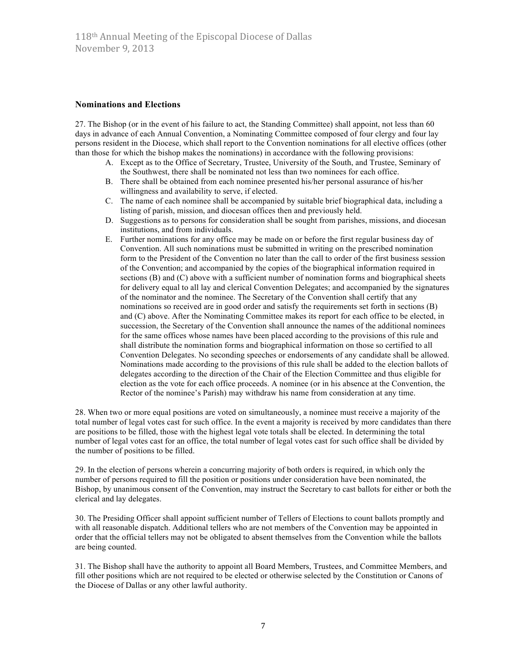#### **Nominations and Elections**

27. The Bishop (or in the event of his failure to act, the Standing Committee) shall appoint, not less than 60 days in advance of each Annual Convention, a Nominating Committee composed of four clergy and four lay persons resident in the Diocese, which shall report to the Convention nominations for all elective offices (other than those for which the bishop makes the nominations) in accordance with the following provisions:

- A. Except as to the Office of Secretary, Trustee, University of the South, and Trustee, Seminary of the Southwest, there shall be nominated not less than two nominees for each office.
- B. There shall be obtained from each nominee presented his/her personal assurance of his/her willingness and availability to serve, if elected.
- C. The name of each nominee shall be accompanied by suitable brief biographical data, including a listing of parish, mission, and diocesan offices then and previously held.
- D. Suggestions as to persons for consideration shall be sought from parishes, missions, and diocesan institutions, and from individuals.
- E. Further nominations for any office may be made on or before the first regular business day of Convention. All such nominations must be submitted in writing on the prescribed nomination form to the President of the Convention no later than the call to order of the first business session of the Convention; and accompanied by the copies of the biographical information required in sections (B) and (C) above with a sufficient number of nomination forms and biographical sheets for delivery equal to all lay and clerical Convention Delegates; and accompanied by the signatures of the nominator and the nominee. The Secretary of the Convention shall certify that any nominations so received are in good order and satisfy the requirements set forth in sections (B) and (C) above. After the Nominating Committee makes its report for each office to be elected, in succession, the Secretary of the Convention shall announce the names of the additional nominees for the same offices whose names have been placed according to the provisions of this rule and shall distribute the nomination forms and biographical information on those so certified to all Convention Delegates. No seconding speeches or endorsements of any candidate shall be allowed. Nominations made according to the provisions of this rule shall be added to the election ballots of delegates according to the direction of the Chair of the Election Committee and thus eligible for election as the vote for each office proceeds. A nominee (or in his absence at the Convention, the Rector of the nominee's Parish) may withdraw his name from consideration at any time.

28. When two or more equal positions are voted on simultaneously, a nominee must receive a majority of the total number of legal votes cast for such office. In the event a majority is received by more candidates than there are positions to be filled, those with the highest legal vote totals shall be elected. In determining the total number of legal votes cast for an office, the total number of legal votes cast for such office shall be divided by the number of positions to be filled.

29. In the election of persons wherein a concurring majority of both orders is required, in which only the number of persons required to fill the position or positions under consideration have been nominated, the Bishop, by unanimous consent of the Convention, may instruct the Secretary to cast ballots for either or both the clerical and lay delegates.

30. The Presiding Officer shall appoint sufficient number of Tellers of Elections to count ballots promptly and with all reasonable dispatch. Additional tellers who are not members of the Convention may be appointed in order that the official tellers may not be obligated to absent themselves from the Convention while the ballots are being counted.

31. The Bishop shall have the authority to appoint all Board Members, Trustees, and Committee Members, and fill other positions which are not required to be elected or otherwise selected by the Constitution or Canons of the Diocese of Dallas or any other lawful authority.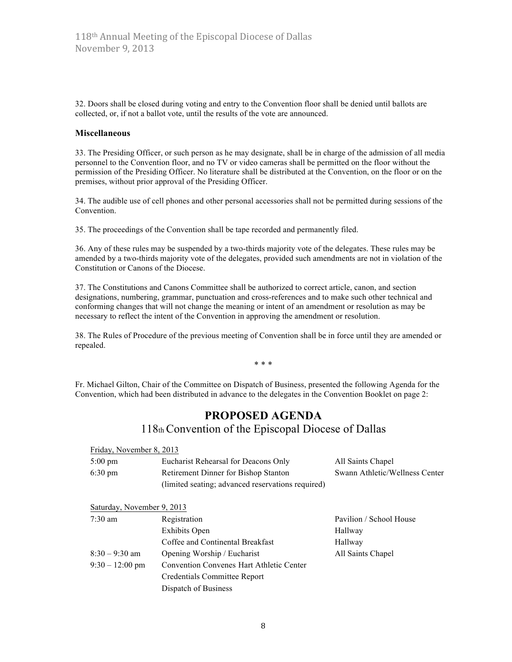32. Doors shall be closed during voting and entry to the Convention floor shall be denied until ballots are collected, or, if not a ballot vote, until the results of the vote are announced.

#### **Miscellaneous**

33. The Presiding Officer, or such person as he may designate, shall be in charge of the admission of all media personnel to the Convention floor, and no TV or video cameras shall be permitted on the floor without the permission of the Presiding Officer. No literature shall be distributed at the Convention, on the floor or on the premises, without prior approval of the Presiding Officer.

34. The audible use of cell phones and other personal accessories shall not be permitted during sessions of the Convention.

35. The proceedings of the Convention shall be tape recorded and permanently filed.

36. Any of these rules may be suspended by a two-thirds majority vote of the delegates. These rules may be amended by a two-thirds majority vote of the delegates, provided such amendments are not in violation of the Constitution or Canons of the Diocese.

37. The Constitutions and Canons Committee shall be authorized to correct article, canon, and section designations, numbering, grammar, punctuation and cross-references and to make such other technical and conforming changes that will not change the meaning or intent of an amendment or resolution as may be necessary to reflect the intent of the Convention in approving the amendment or resolution.

38. The Rules of Procedure of the previous meeting of Convention shall be in force until they are amended or repealed.

\* \* \*

Fr. Michael Gilton, Chair of the Committee on Dispatch of Business, presented the following Agenda for the Convention, which had been distributed in advance to the delegates in the Convention Booklet on page 2:

# **PROPOSED AGENDA**

118th Convention of the Episcopal Diocese of Dallas

| Friday, November 8, 2013 |                                                   |                                |
|--------------------------|---------------------------------------------------|--------------------------------|
| $5:00 \text{ pm}$        | Eucharist Rehearsal for Deacons Only              | All Saints Chapel              |
| $6:30 \text{ pm}$        | Retirement Dinner for Bishop Stanton              | Swann Athletic/Wellness Center |
|                          | (limited seating; advanced reservations required) |                                |

| Saturday, November 9, 2013 |                                                 |                         |
|----------------------------|-------------------------------------------------|-------------------------|
| $7:30 \text{ am}$          | Registration                                    | Pavilion / School House |
|                            | <b>Exhibits Open</b>                            | Hallway                 |
|                            | Coffee and Continental Breakfast                | Hallway                 |
| $8:30 - 9:30$ am           | Opening Worship / Eucharist                     | All Saints Chapel       |
| $9:30 - 12:00$ pm          | <b>Convention Convenes Hart Athletic Center</b> |                         |
|                            | Credentials Committee Report                    |                         |
|                            | Dispatch of Business                            |                         |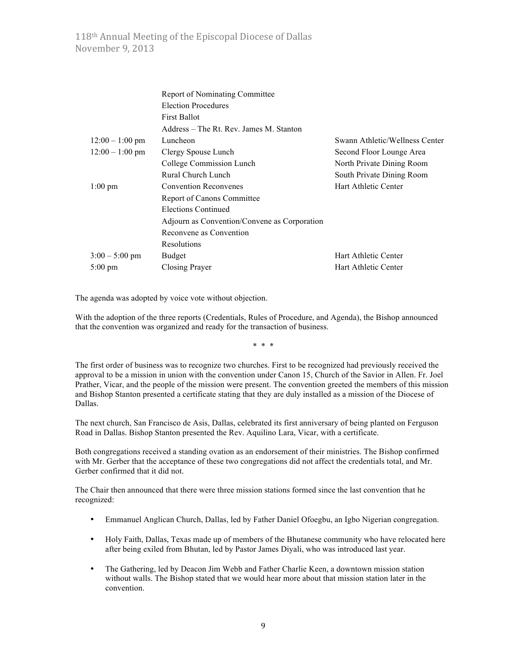|                   | <b>Report of Nominating Committee</b>        |                                |
|-------------------|----------------------------------------------|--------------------------------|
|                   | <b>Election Procedures</b>                   |                                |
|                   | <b>First Ballot</b>                          |                                |
|                   | Address – The Rt. Rev. James M. Stanton      |                                |
| $12:00 - 1:00$ pm | Luncheon                                     | Swann Athletic/Wellness Center |
| $12:00 - 1:00$ pm | Clergy Spouse Lunch                          | Second Floor Lounge Area       |
|                   | College Commission Lunch                     | North Private Dining Room      |
|                   | Rural Church Lunch                           | South Private Dining Room      |
| $1:00 \text{ pm}$ | <b>Convention Reconvenes</b>                 | Hart Athletic Center           |
|                   | <b>Report of Canons Committee</b>            |                                |
|                   | Elections Continued                          |                                |
|                   | Adjourn as Convention/Convene as Corporation |                                |
|                   | Reconvene as Convention                      |                                |
|                   | Resolutions                                  |                                |
| $3:00 - 5:00$ pm  | <b>Budget</b>                                | Hart Athletic Center           |
| 5:00 pm           | Closing Prayer                               | Hart Athletic Center           |

The agenda was adopted by voice vote without objection.

With the adoption of the three reports (Credentials, Rules of Procedure, and Agenda), the Bishop announced that the convention was organized and ready for the transaction of business.

\* \* \*

The first order of business was to recognize two churches. First to be recognized had previously received the approval to be a mission in union with the convention under Canon 15, Church of the Savior in Allen. Fr. Joel Prather, Vicar, and the people of the mission were present. The convention greeted the members of this mission and Bishop Stanton presented a certificate stating that they are duly installed as a mission of the Diocese of Dallas.

The next church, San Francisco de Asis, Dallas, celebrated its first anniversary of being planted on Ferguson Road in Dallas. Bishop Stanton presented the Rev. Aquilino Lara, Vicar, with a certificate.

Both congregations received a standing ovation as an endorsement of their ministries. The Bishop confirmed with Mr. Gerber that the acceptance of these two congregations did not affect the credentials total, and Mr. Gerber confirmed that it did not.

The Chair then announced that there were three mission stations formed since the last convention that he recognized:

- Emmanuel Anglican Church, Dallas, led by Father Daniel Ofoegbu, an Igbo Nigerian congregation.
- Holy Faith, Dallas, Texas made up of members of the Bhutanese community who have relocated here after being exiled from Bhutan, led by Pastor James Diyali, who was introduced last year.
- The Gathering, led by Deacon Jim Webb and Father Charlie Keen, a downtown mission station without walls. The Bishop stated that we would hear more about that mission station later in the convention.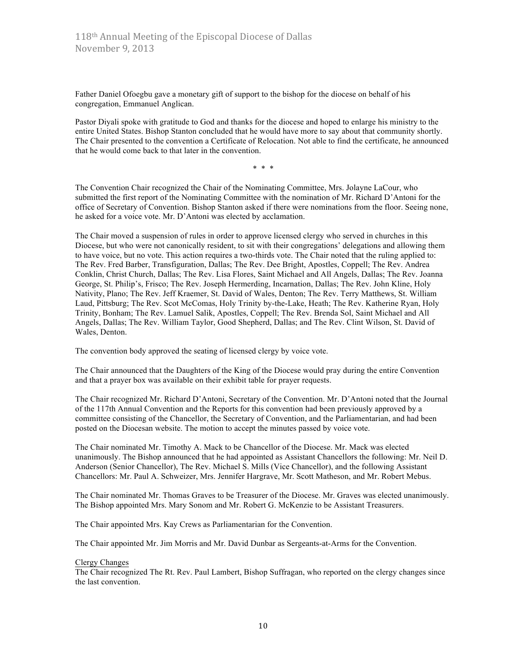Father Daniel Ofoegbu gave a monetary gift of support to the bishop for the diocese on behalf of his congregation, Emmanuel Anglican.

Pastor Diyali spoke with gratitude to God and thanks for the diocese and hoped to enlarge his ministry to the entire United States. Bishop Stanton concluded that he would have more to say about that community shortly. The Chair presented to the convention a Certificate of Relocation. Not able to find the certificate, he announced that he would come back to that later in the convention.

\* \* \*

The Convention Chair recognized the Chair of the Nominating Committee, Mrs. Jolayne LaCour, who submitted the first report of the Nominating Committee with the nomination of Mr. Richard D'Antoni for the office of Secretary of Convention. Bishop Stanton asked if there were nominations from the floor. Seeing none, he asked for a voice vote. Mr. D'Antoni was elected by acclamation.

The Chair moved a suspension of rules in order to approve licensed clergy who served in churches in this Diocese, but who were not canonically resident, to sit with their congregations' delegations and allowing them to have voice, but no vote. This action requires a two-thirds vote. The Chair noted that the ruling applied to: The Rev. Fred Barber, Transfiguration, Dallas; The Rev. Dee Bright, Apostles, Coppell; The Rev. Andrea Conklin, Christ Church, Dallas; The Rev. Lisa Flores, Saint Michael and All Angels, Dallas; The Rev. Joanna George, St. Philip's, Frisco; The Rev. Joseph Hermerding, Incarnation, Dallas; The Rev. John Kline, Holy Nativity, Plano; The Rev. Jeff Kraemer, St. David of Wales, Denton; The Rev. Terry Matthews, St. William Laud, Pittsburg; The Rev. Scot McComas, Holy Trinity by-the-Lake, Heath; The Rev. Katherine Ryan, Holy Trinity, Bonham; The Rev. Lamuel Salik, Apostles, Coppell; The Rev. Brenda Sol, Saint Michael and All Angels, Dallas; The Rev. William Taylor, Good Shepherd, Dallas; and The Rev. Clint Wilson, St. David of Wales, Denton.

The convention body approved the seating of licensed clergy by voice vote.

The Chair announced that the Daughters of the King of the Diocese would pray during the entire Convention and that a prayer box was available on their exhibit table for prayer requests.

The Chair recognized Mr. Richard D'Antoni, Secretary of the Convention. Mr. D'Antoni noted that the Journal of the 117th Annual Convention and the Reports for this convention had been previously approved by a committee consisting of the Chancellor, the Secretary of Convention, and the Parliamentarian, and had been posted on the Diocesan website. The motion to accept the minutes passed by voice vote.

The Chair nominated Mr. Timothy A. Mack to be Chancellor of the Diocese. Mr. Mack was elected unanimously. The Bishop announced that he had appointed as Assistant Chancellors the following: Mr. Neil D. Anderson (Senior Chancellor), The Rev. Michael S. Mills (Vice Chancellor), and the following Assistant Chancellors: Mr. Paul A. Schweizer, Mrs. Jennifer Hargrave, Mr. Scott Matheson, and Mr. Robert Mebus.

The Chair nominated Mr. Thomas Graves to be Treasurer of the Diocese. Mr. Graves was elected unanimously. The Bishop appointed Mrs. Mary Sonom and Mr. Robert G. McKenzie to be Assistant Treasurers.

The Chair appointed Mrs. Kay Crews as Parliamentarian for the Convention.

The Chair appointed Mr. Jim Morris and Mr. David Dunbar as Sergeants-at-Arms for the Convention.

#### Clergy Changes

The Chair recognized The Rt. Rev. Paul Lambert, Bishop Suffragan, who reported on the clergy changes since the last convention.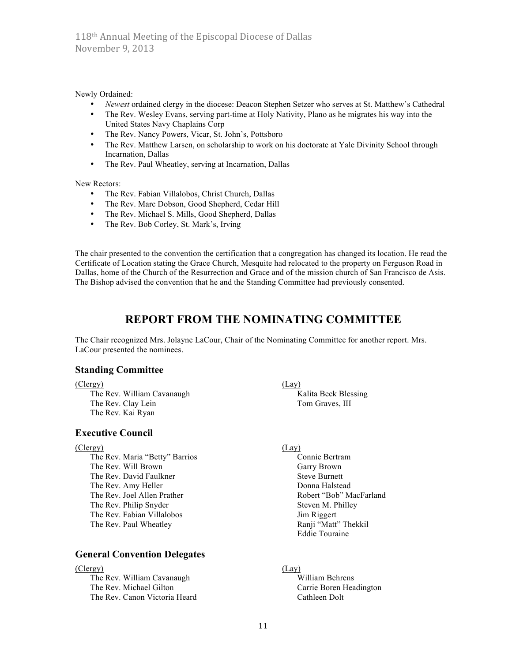Newly Ordained:

- *Newest* ordained clergy in the diocese: Deacon Stephen Setzer who serves at St. Matthew's Cathedral
- The Rev. Wesley Evans, serving part-time at Holy Nativity, Plano as he migrates his way into the United States Navy Chaplains Corp
- The Rev. Nancy Powers, Vicar, St. John's, Pottsboro
- The Rev. Matthew Larsen, on scholarship to work on his doctorate at Yale Divinity School through Incarnation, Dallas
- The Rev. Paul Wheatley, serving at Incarnation, Dallas

New Rectors:

- The Rev. Fabian Villalobos, Christ Church, Dallas
- The Rev. Marc Dobson, Good Shepherd, Cedar Hill
- The Rev. Michael S. Mills, Good Shepherd, Dallas
- The Rev. Bob Corley, St. Mark's, Irving

The chair presented to the convention the certification that a congregation has changed its location. He read the Certificate of Location stating the Grace Church, Mesquite had relocated to the property on Ferguson Road in Dallas, home of the Church of the Resurrection and Grace and of the mission church of San Francisco de Asis. The Bishop advised the convention that he and the Standing Committee had previously consented.

# **REPORT FROM THE NOMINATING COMMITTEE**

The Chair recognized Mrs. Jolayne LaCour, Chair of the Nominating Committee for another report. Mrs. LaCour presented the nominees.

### **Standing Committee**

#### (Clergy) (Lay)

The Rev. William Cavanaugh Kalita Beck Blessing The Rev. Clay Lein Tom Graves, III The Rev. Kai Ryan

## **Executive Council**

(Clergy) (Lay)

The Rev. Maria "Betty" Barrios Connie Bertram The Rev. Will Brown Garry Brown The Rev. David Faulkner Steve Burnett The Rev. Amy Heller **Donna Halstead** Donna Halstead The Rev. Joel Allen Prather **Robert "Bob" MacFarland** The Rev. Philip Snyder Steven M. Philley The Rev. Fabian Villalobos Jim Riggert The Rev. Paul Wheatley **Ranji** "Matt" Thekkil

## **General Convention Delegates**

#### (Clergy) (Lay)

The Rev. William Cavanaugh William Behrens The Rev. Michael Gilton Carrie Boren Headington The Rev. Canon Victoria Heard Cathleen Dolt

Eddie Touraine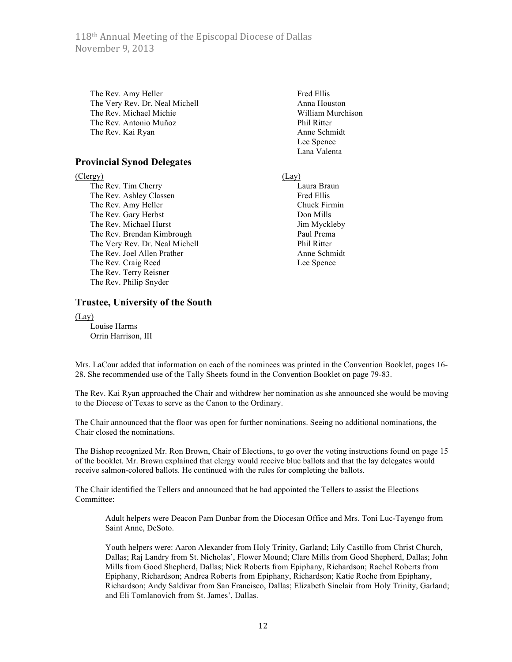118<sup>th</sup> Annual Meeting of the Episcopal Diocese of Dallas November 9, 2013

The Rev. Amy Heller Fred Ellis The Very Rev. Dr. Neal Michell Anna Houston The Rev. Michael Michie William Murchison The Rev. Antonio Muñoz Phil Ritter The Rev. Kai Ryan Anne Schmidt

#### **Provincial Synod Delegates**

(Clergy) (Lay)

The Rev. Tim Cherry Laura Braun The Rev. Ashley Classen Fred Ellis The Rev. Amy Heller Chuck Firmin The Rev. Gary Herbst Don Mills The Rev. Michael Hurst Jim Myckleby The Rev. Brendan Kimbrough Paul Prema The Very Rev. Dr. Neal Michell Phil Ritter The Rev. Joel Allen Prather Anne Schmidt The Rev. Craig Reed Lee Spence The Rev. Terry Reisner The Rev. Philip Snyder

#### **Trustee, University of the South**

(Lay)

Louise Harms Orrin Harrison, III Lee Spence Lana Valenta

Mrs. LaCour added that information on each of the nominees was printed in the Convention Booklet, pages 16- 28. She recommended use of the Tally Sheets found in the Convention Booklet on page 79-83.

The Rev. Kai Ryan approached the Chair and withdrew her nomination as she announced she would be moving to the Diocese of Texas to serve as the Canon to the Ordinary.

The Chair announced that the floor was open for further nominations. Seeing no additional nominations, the Chair closed the nominations.

The Bishop recognized Mr. Ron Brown, Chair of Elections, to go over the voting instructions found on page 15 of the booklet. Mr. Brown explained that clergy would receive blue ballots and that the lay delegates would receive salmon-colored ballots. He continued with the rules for completing the ballots.

The Chair identified the Tellers and announced that he had appointed the Tellers to assist the Elections Committee:

Adult helpers were Deacon Pam Dunbar from the Diocesan Office and Mrs. Toni Luc-Tayengo from Saint Anne, DeSoto.

Youth helpers were: Aaron Alexander from Holy Trinity, Garland; Lily Castillo from Christ Church, Dallas; Raj Landry from St. Nicholas', Flower Mound; Clare Mills from Good Shepherd, Dallas; John Mills from Good Shepherd, Dallas; Nick Roberts from Epiphany, Richardson; Rachel Roberts from Epiphany, Richardson; Andrea Roberts from Epiphany, Richardson; Katie Roche from Epiphany, Richardson; Andy Saldivar from San Francisco, Dallas; Elizabeth Sinclair from Holy Trinity, Garland; and Eli Tomlanovich from St. James', Dallas.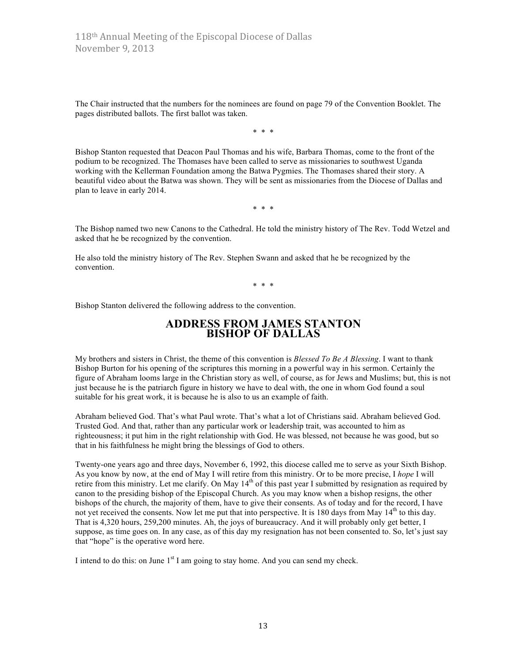The Chair instructed that the numbers for the nominees are found on page 79 of the Convention Booklet. The pages distributed ballots. The first ballot was taken.

\* \* \*

Bishop Stanton requested that Deacon Paul Thomas and his wife, Barbara Thomas, come to the front of the podium to be recognized. The Thomases have been called to serve as missionaries to southwest Uganda working with the Kellerman Foundation among the Batwa Pygmies. The Thomases shared their story. A beautiful video about the Batwa was shown. They will be sent as missionaries from the Diocese of Dallas and plan to leave in early 2014.

\* \* \*

The Bishop named two new Canons to the Cathedral. He told the ministry history of The Rev. Todd Wetzel and asked that he be recognized by the convention.

He also told the ministry history of The Rev. Stephen Swann and asked that he be recognized by the convention.

\* \* \*

Bishop Stanton delivered the following address to the convention.

# **ADDRESS FROM JAMES STANTON BISHOP OF DALLAS**

My brothers and sisters in Christ, the theme of this convention is *Blessed To Be A Blessing*. I want to thank Bishop Burton for his opening of the scriptures this morning in a powerful way in his sermon. Certainly the figure of Abraham looms large in the Christian story as well, of course, as for Jews and Muslims; but, this is not just because he is the patriarch figure in history we have to deal with, the one in whom God found a soul suitable for his great work, it is because he is also to us an example of faith.

Abraham believed God. That's what Paul wrote. That's what a lot of Christians said. Abraham believed God. Trusted God. And that, rather than any particular work or leadership trait, was accounted to him as righteousness; it put him in the right relationship with God. He was blessed, not because he was good, but so that in his faithfulness he might bring the blessings of God to others.

Twenty-one years ago and three days, November 6, 1992, this diocese called me to serve as your Sixth Bishop. As you know by now, at the end of May I will retire from this ministry. Or to be more precise, I *hope* I will retire from this ministry. Let me clarify. On May  $14<sup>th</sup>$  of this past year I submitted by resignation as required by canon to the presiding bishop of the Episcopal Church. As you may know when a bishop resigns, the other bishops of the church, the majority of them, have to give their consents. As of today and for the record, I have not yet received the consents. Now let me put that into perspective. It is 180 days from May  $14<sup>th</sup>$  to this day. That is 4,320 hours, 259,200 minutes. Ah, the joys of bureaucracy. And it will probably only get better, I suppose, as time goes on. In any case, as of this day my resignation has not been consented to. So, let's just say that "hope" is the operative word here.

I intend to do this: on June  $1<sup>st</sup>$  I am going to stay home. And you can send my check.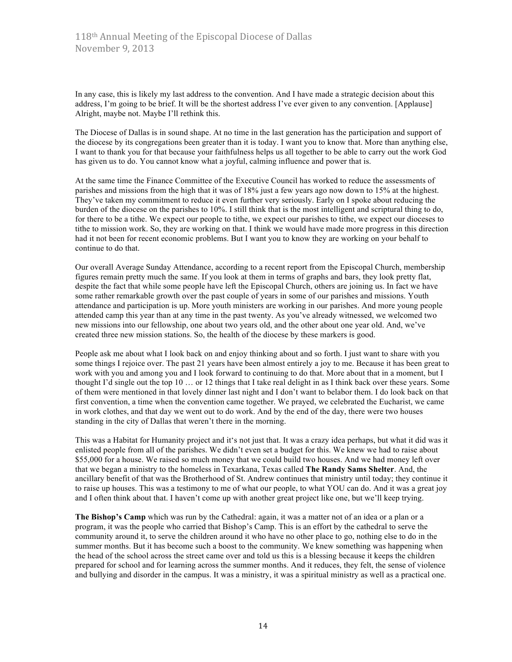In any case, this is likely my last address to the convention. And I have made a strategic decision about this address, I'm going to be brief. It will be the shortest address I've ever given to any convention. [Applause] Alright, maybe not. Maybe I'll rethink this.

The Diocese of Dallas is in sound shape. At no time in the last generation has the participation and support of the diocese by its congregations been greater than it is today. I want you to know that. More than anything else, I want to thank you for that because your faithfulness helps us all together to be able to carry out the work God has given us to do. You cannot know what a joyful, calming influence and power that is.

At the same time the Finance Committee of the Executive Council has worked to reduce the assessments of parishes and missions from the high that it was of 18% just a few years ago now down to 15% at the highest. They've taken my commitment to reduce it even further very seriously. Early on I spoke about reducing the burden of the diocese on the parishes to 10%. I still think that is the most intelligent and scriptural thing to do, for there to be a tithe. We expect our people to tithe, we expect our parishes to tithe, we expect our dioceses to tithe to mission work. So, they are working on that. I think we would have made more progress in this direction had it not been for recent economic problems. But I want you to know they are working on your behalf to continue to do that.

Our overall Average Sunday Attendance, according to a recent report from the Episcopal Church, membership figures remain pretty much the same. If you look at them in terms of graphs and bars, they look pretty flat, despite the fact that while some people have left the Episcopal Church, others are joining us. In fact we have some rather remarkable growth over the past couple of years in some of our parishes and missions. Youth attendance and participation is up. More youth ministers are working in our parishes. And more young people attended camp this year than at any time in the past twenty. As you've already witnessed, we welcomed two new missions into our fellowship, one about two years old, and the other about one year old. And, we've created three new mission stations. So, the health of the diocese by these markers is good.

People ask me about what I look back on and enjoy thinking about and so forth. I just want to share with you some things I rejoice over. The past 21 years have been almost entirely a joy to me. Because it has been great to work with you and among you and I look forward to continuing to do that. More about that in a moment, but I thought I'd single out the top 10 … or 12 things that I take real delight in as I think back over these years. Some of them were mentioned in that lovely dinner last night and I don't want to belabor them. I do look back on that first convention, a time when the convention came together. We prayed, we celebrated the Eucharist, we came in work clothes, and that day we went out to do work. And by the end of the day, there were two houses standing in the city of Dallas that weren't there in the morning.

This was a Habitat for Humanity project and it's not just that. It was a crazy idea perhaps, but what it did was it enlisted people from all of the parishes. We didn't even set a budget for this. We knew we had to raise about \$55,000 for a house. We raised so much money that we could build two houses. And we had money left over that we began a ministry to the homeless in Texarkana, Texas called **The Randy Sams Shelter**. And, the ancillary benefit of that was the Brotherhood of St. Andrew continues that ministry until today; they continue it to raise up houses. This was a testimony to me of what our people, to what YOU can do. And it was a great joy and I often think about that. I haven't come up with another great project like one, but we'll keep trying.

**The Bishop's Camp** which was run by the Cathedral: again, it was a matter not of an idea or a plan or a program, it was the people who carried that Bishop's Camp. This is an effort by the cathedral to serve the community around it, to serve the children around it who have no other place to go, nothing else to do in the summer months. But it has become such a boost to the community. We knew something was happening when the head of the school across the street came over and told us this is a blessing because it keeps the children prepared for school and for learning across the summer months. And it reduces, they felt, the sense of violence and bullying and disorder in the campus. It was a ministry, it was a spiritual ministry as well as a practical one.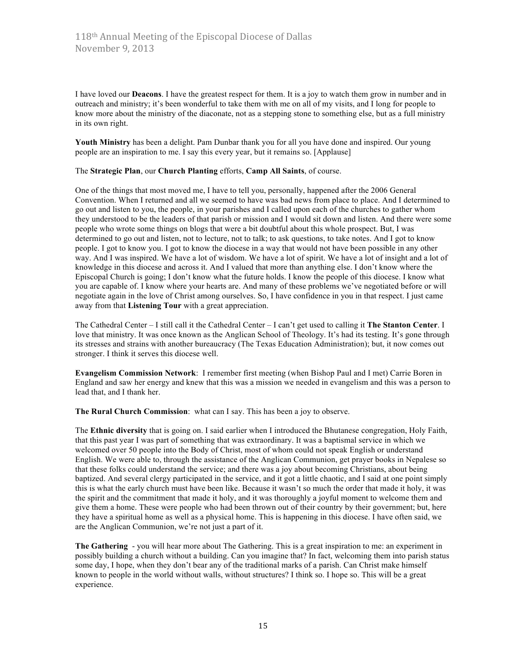I have loved our **Deacons**. I have the greatest respect for them. It is a joy to watch them grow in number and in outreach and ministry; it's been wonderful to take them with me on all of my visits, and I long for people to know more about the ministry of the diaconate, not as a stepping stone to something else, but as a full ministry in its own right.

**Youth Ministry** has been a delight. Pam Dunbar thank you for all you have done and inspired. Our young people are an inspiration to me. I say this every year, but it remains so. [Applause]

#### The **Strategic Plan**, our **Church Planting** efforts, **Camp All Saints**, of course.

One of the things that most moved me, I have to tell you, personally, happened after the 2006 General Convention. When I returned and all we seemed to have was bad news from place to place. And I determined to go out and listen to you, the people, in your parishes and I called upon each of the churches to gather whom they understood to be the leaders of that parish or mission and I would sit down and listen. And there were some people who wrote some things on blogs that were a bit doubtful about this whole prospect. But, I was determined to go out and listen, not to lecture, not to talk; to ask questions, to take notes. And I got to know people. I got to know you. I got to know the diocese in a way that would not have been possible in any other way. And I was inspired. We have a lot of wisdom. We have a lot of spirit. We have a lot of insight and a lot of knowledge in this diocese and across it. And I valued that more than anything else. I don't know where the Episcopal Church is going; I don't know what the future holds. I know the people of this diocese. I know what you are capable of. I know where your hearts are. And many of these problems we've negotiated before or will negotiate again in the love of Christ among ourselves. So, I have confidence in you in that respect. I just came away from that **Listening Tour** with a great appreciation.

The Cathedral Center – I still call it the Cathedral Center – I can't get used to calling it **The Stanton Center**. I love that ministry. It was once known as the Anglican School of Theology. It's had its testing. It's gone through its stresses and strains with another bureaucracy (The Texas Education Administration); but, it now comes out stronger. I think it serves this diocese well.

**Evangelism Commission Network**: I remember first meeting (when Bishop Paul and I met) Carrie Boren in England and saw her energy and knew that this was a mission we needed in evangelism and this was a person to lead that, and I thank her.

**The Rural Church Commission**: what can I say. This has been a joy to observe.

The **Ethnic diversity** that is going on. I said earlier when I introduced the Bhutanese congregation, Holy Faith, that this past year I was part of something that was extraordinary. It was a baptismal service in which we welcomed over 50 people into the Body of Christ, most of whom could not speak English or understand English. We were able to, through the assistance of the Anglican Communion, get prayer books in Nepalese so that these folks could understand the service; and there was a joy about becoming Christians, about being baptized. And several clergy participated in the service, and it got a little chaotic, and I said at one point simply this is what the early church must have been like. Because it wasn't so much the order that made it holy, it was the spirit and the commitment that made it holy, and it was thoroughly a joyful moment to welcome them and give them a home. These were people who had been thrown out of their country by their government; but, here they have a spiritual home as well as a physical home. This is happening in this diocese. I have often said, we are the Anglican Communion, we're not just a part of it.

**The Gathering** - you will hear more about The Gathering. This is a great inspiration to me: an experiment in possibly building a church without a building. Can you imagine that? In fact, welcoming them into parish status some day, I hope, when they don't bear any of the traditional marks of a parish. Can Christ make himself known to people in the world without walls, without structures? I think so. I hope so. This will be a great experience.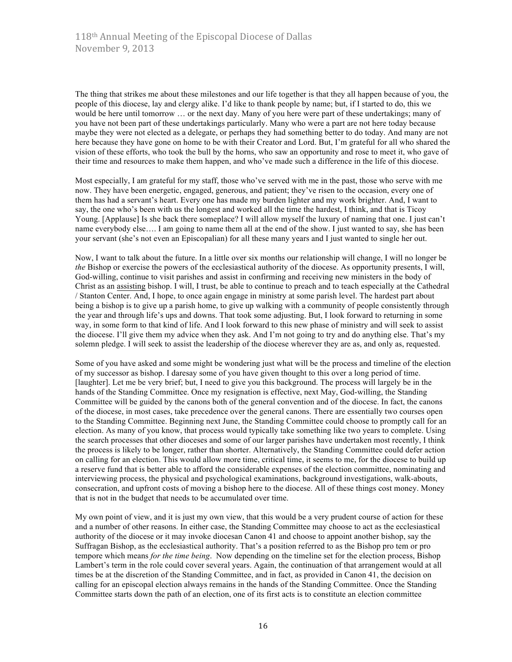The thing that strikes me about these milestones and our life together is that they all happen because of you, the people of this diocese, lay and clergy alike. I'd like to thank people by name; but, if I started to do, this we would be here until tomorrow … or the next day. Many of you here were part of these undertakings; many of you have not been part of these undertakings particularly. Many who were a part are not here today because maybe they were not elected as a delegate, or perhaps they had something better to do today. And many are not here because they have gone on home to be with their Creator and Lord. But, I'm grateful for all who shared the vision of these efforts, who took the bull by the horns, who saw an opportunity and rose to meet it, who gave of their time and resources to make them happen, and who've made such a difference in the life of this diocese.

Most especially, I am grateful for my staff, those who've served with me in the past, those who serve with me now. They have been energetic, engaged, generous, and patient; they've risen to the occasion, every one of them has had a servant's heart. Every one has made my burden lighter and my work brighter. And, I want to say, the one who's been with us the longest and worked all the time the hardest, I think, and that is Ticoy Young. [Applause] Is she back there someplace? I will allow myself the luxury of naming that one. I just can't name everybody else…. I am going to name them all at the end of the show. I just wanted to say, she has been your servant (she's not even an Episcopalian) for all these many years and I just wanted to single her out.

Now, I want to talk about the future. In a little over six months our relationship will change, I will no longer be *the* Bishop or exercise the powers of the ecclesiastical authority of the diocese. As opportunity presents, I will, God-willing, continue to visit parishes and assist in confirming and receiving new ministers in the body of Christ as an assisting bishop. I will, I trust, be able to continue to preach and to teach especially at the Cathedral / Stanton Center. And, I hope, to once again engage in ministry at some parish level. The hardest part about being a bishop is to give up a parish home, to give up walking with a community of people consistently through the year and through life's ups and downs. That took some adjusting. But, I look forward to returning in some way, in some form to that kind of life. And I look forward to this new phase of ministry and will seek to assist the diocese. I'll give them my advice when they ask. And I'm not going to try and do anything else. That's my solemn pledge. I will seek to assist the leadership of the diocese wherever they are as, and only as, requested.

Some of you have asked and some might be wondering just what will be the process and timeline of the election of my successor as bishop. I daresay some of you have given thought to this over a long period of time. [laughter]. Let me be very brief; but, I need to give you this background. The process will largely be in the hands of the Standing Committee. Once my resignation is effective, next May, God-willing, the Standing Committee will be guided by the canons both of the general convention and of the diocese. In fact, the canons of the diocese, in most cases, take precedence over the general canons. There are essentially two courses open to the Standing Committee. Beginning next June, the Standing Committee could choose to promptly call for an election. As many of you know, that process would typically take something like two years to complete. Using the search processes that other dioceses and some of our larger parishes have undertaken most recently, I think the process is likely to be longer, rather than shorter. Alternatively, the Standing Committee could defer action on calling for an election. This would allow more time, critical time, it seems to me, for the diocese to build up a reserve fund that is better able to afford the considerable expenses of the election committee, nominating and interviewing process, the physical and psychological examinations, background investigations, walk-abouts, consecration, and upfront costs of moving a bishop here to the diocese. All of these things cost money. Money that is not in the budget that needs to be accumulated over time.

My own point of view, and it is just my own view, that this would be a very prudent course of action for these and a number of other reasons. In either case, the Standing Committee may choose to act as the ecclesiastical authority of the diocese or it may invoke diocesan Canon 41 and choose to appoint another bishop, say the Suffragan Bishop, as the ecclesiastical authority. That's a position referred to as the Bishop pro tem or pro tempore which means *for the time being*. Now depending on the timeline set for the election process, Bishop Lambert's term in the role could cover several years. Again, the continuation of that arrangement would at all times be at the discretion of the Standing Committee, and in fact, as provided in Canon 41, the decision on calling for an episcopal election always remains in the hands of the Standing Committee. Once the Standing Committee starts down the path of an election, one of its first acts is to constitute an election committee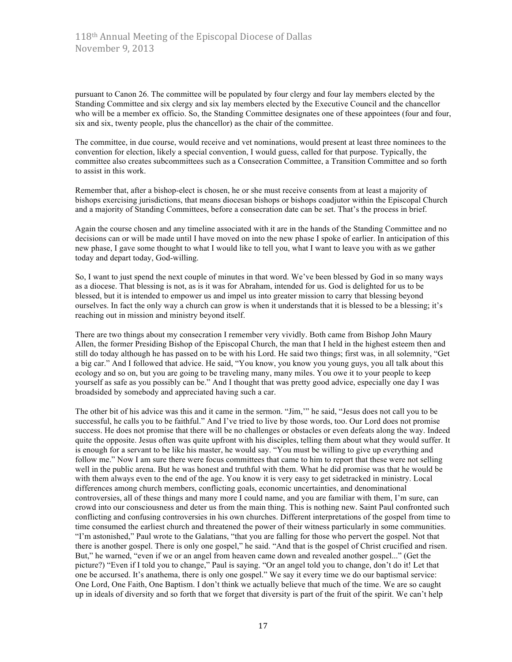pursuant to Canon 26. The committee will be populated by four clergy and four lay members elected by the Standing Committee and six clergy and six lay members elected by the Executive Council and the chancellor who will be a member ex officio. So, the Standing Committee designates one of these appointees (four and four, six and six, twenty people, plus the chancellor) as the chair of the committee.

The committee, in due course, would receive and vet nominations, would present at least three nominees to the convention for election, likely a special convention, I would guess, called for that purpose. Typically, the committee also creates subcommittees such as a Consecration Committee, a Transition Committee and so forth to assist in this work.

Remember that, after a bishop-elect is chosen, he or she must receive consents from at least a majority of bishops exercising jurisdictions, that means diocesan bishops or bishops coadjutor within the Episcopal Church and a majority of Standing Committees, before a consecration date can be set. That's the process in brief.

Again the course chosen and any timeline associated with it are in the hands of the Standing Committee and no decisions can or will be made until I have moved on into the new phase I spoke of earlier. In anticipation of this new phase, I gave some thought to what I would like to tell you, what I want to leave you with as we gather today and depart today, God-willing.

So, I want to just spend the next couple of minutes in that word. We've been blessed by God in so many ways as a diocese. That blessing is not, as is it was for Abraham, intended for us. God is delighted for us to be blessed, but it is intended to empower us and impel us into greater mission to carry that blessing beyond ourselves. In fact the only way a church can grow is when it understands that it is blessed to be a blessing; it's reaching out in mission and ministry beyond itself.

There are two things about my consecration I remember very vividly. Both came from Bishop John Maury Allen, the former Presiding Bishop of the Episcopal Church, the man that I held in the highest esteem then and still do today although he has passed on to be with his Lord. He said two things; first was, in all solemnity, "Get a big car." And I followed that advice. He said, "You know, you know you young guys, you all talk about this ecology and so on, but you are going to be traveling many, many miles. You owe it to your people to keep yourself as safe as you possibly can be." And I thought that was pretty good advice, especially one day I was broadsided by somebody and appreciated having such a car.

The other bit of his advice was this and it came in the sermon. "Jim,'" he said, "Jesus does not call you to be successful, he calls you to be faithful." And I've tried to live by those words, too. Our Lord does not promise success. He does not promise that there will be no challenges or obstacles or even defeats along the way. Indeed quite the opposite. Jesus often was quite upfront with his disciples, telling them about what they would suffer. It is enough for a servant to be like his master, he would say. "You must be willing to give up everything and follow me." Now I am sure there were focus committees that came to him to report that these were not selling well in the public arena. But he was honest and truthful with them. What he did promise was that he would be with them always even to the end of the age. You know it is very easy to get sidetracked in ministry. Local differences among church members, conflicting goals, economic uncertainties, and denominational controversies, all of these things and many more I could name, and you are familiar with them, I'm sure, can crowd into our consciousness and deter us from the main thing. This is nothing new. Saint Paul confronted such conflicting and confusing controversies in his own churches. Different interpretations of the gospel from time to time consumed the earliest church and threatened the power of their witness particularly in some communities. "I'm astonished," Paul wrote to the Galatians, "that you are falling for those who pervert the gospel. Not that there is another gospel. There is only one gospel," he said. "And that is the gospel of Christ crucified and risen. But," he warned, "even if we or an angel from heaven came down and revealed another gospel..." (Get the picture?) "Even if I told you to change," Paul is saying. "Or an angel told you to change, don't do it! Let that one be accursed. It's anathema, there is only one gospel." We say it every time we do our baptismal service: One Lord, One Faith, One Baptism. I don't think we actually believe that much of the time. We are so caught up in ideals of diversity and so forth that we forget that diversity is part of the fruit of the spirit. We can't help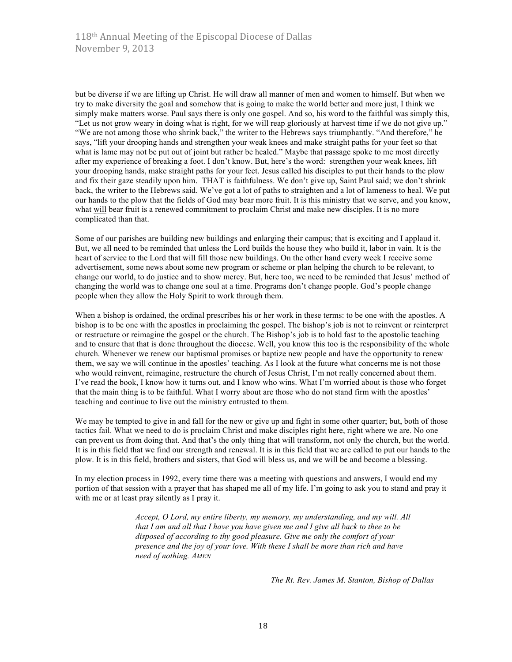but be diverse if we are lifting up Christ. He will draw all manner of men and women to himself. But when we try to make diversity the goal and somehow that is going to make the world better and more just, I think we simply make matters worse. Paul says there is only one gospel. And so, his word to the faithful was simply this, "Let us not grow weary in doing what is right, for we will reap gloriously at harvest time if we do not give up." "We are not among those who shrink back," the writer to the Hebrews says triumphantly. "And therefore," he says, "lift your drooping hands and strengthen your weak knees and make straight paths for your feet so that what is lame may not be put out of joint but rather be healed." Maybe that passage spoke to me most directly after my experience of breaking a foot. I don't know. But, here's the word: strengthen your weak knees, lift your drooping hands, make straight paths for your feet. Jesus called his disciples to put their hands to the plow and fix their gaze steadily upon him. THAT is faithfulness. We don't give up, Saint Paul said; we don't shrink back, the writer to the Hebrews said. We've got a lot of paths to straighten and a lot of lameness to heal. We put our hands to the plow that the fields of God may bear more fruit. It is this ministry that we serve, and you know, what will bear fruit is a renewed commitment to proclaim Christ and make new disciples. It is no more complicated than that.

Some of our parishes are building new buildings and enlarging their campus; that is exciting and I applaud it. But, we all need to be reminded that unless the Lord builds the house they who build it, labor in vain. It is the heart of service to the Lord that will fill those new buildings. On the other hand every week I receive some advertisement, some news about some new program or scheme or plan helping the church to be relevant, to change our world, to do justice and to show mercy. But, here too, we need to be reminded that Jesus' method of changing the world was to change one soul at a time. Programs don't change people. God's people change people when they allow the Holy Spirit to work through them.

When a bishop is ordained, the ordinal prescribes his or her work in these terms: to be one with the apostles. A bishop is to be one with the apostles in proclaiming the gospel. The bishop's job is not to reinvent or reinterpret or restructure or reimagine the gospel or the church. The Bishop's job is to hold fast to the apostolic teaching and to ensure that that is done throughout the diocese. Well, you know this too is the responsibility of the whole church. Whenever we renew our baptismal promises or baptize new people and have the opportunity to renew them, we say we will continue in the apostles' teaching. As I look at the future what concerns me is not those who would reinvent, reimagine, restructure the church of Jesus Christ, I'm not really concerned about them. I've read the book, I know how it turns out, and I know who wins. What I'm worried about is those who forget that the main thing is to be faithful. What I worry about are those who do not stand firm with the apostles' teaching and continue to live out the ministry entrusted to them.

We may be tempted to give in and fall for the new or give up and fight in some other quarter; but, both of those tactics fail. What we need to do is proclaim Christ and make disciples right here, right where we are. No one can prevent us from doing that. And that's the only thing that will transform, not only the church, but the world. It is in this field that we find our strength and renewal. It is in this field that we are called to put our hands to the plow. It is in this field, brothers and sisters, that God will bless us, and we will be and become a blessing.

In my election process in 1992, every time there was a meeting with questions and answers, I would end my portion of that session with a prayer that has shaped me all of my life. I'm going to ask you to stand and pray it with me or at least pray silently as I pray it.

> *Accept, O Lord, my entire liberty, my memory, my understanding, and my will. All that I am and all that I have you have given me and I give all back to thee to be disposed of according to thy good pleasure. Give me only the comfort of your presence and the joy of your love. With these I shall be more than rich and have need of nothing. AMEN*

> > *The Rt. Rev. James M. Stanton, Bishop of Dallas*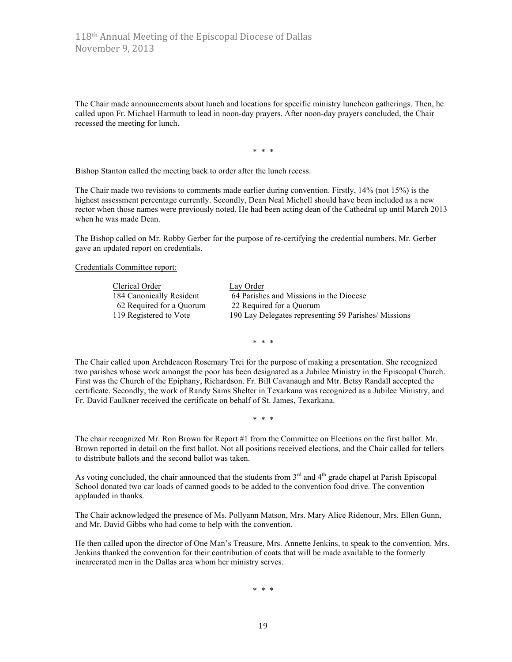The Chair made announcements about lunch and locations for specific ministry luncheon gatherings. Then, he called upon Fr. Michael Harmuth to lead in noon-day prayers. After noon-day prayers concluded, the Chair recessed the meeting for lunch.

\* \* \*

Bishop Stanton called the meeting back to order after the lunch recess.

The Chair made two revisions to comments made earlier during convention. Firstly, 14% (not 15%) is the highest assessment percentage currently. Secondly, Dean Neal Michell should have been included as a new rector when those names were previously noted. He had been acting dean of the Cathedral up until March 2013 when he was made Dean.

The Bishop called on Mr. Robby Gerber for the purpose of re-certifying the credential numbers. Mr. Gerber gave an updated report on credentials.

Credentials Committee report:

| Clerical Order           | Lay Order                                            |
|--------------------------|------------------------------------------------------|
| 184 Canonically Resident | 64 Parishes and Missions in the Diocese              |
| 62 Required for a Quorum | 22 Required for a Quorum                             |
| 119 Registered to Vote   | 190 Lay Delegates representing 59 Parishes/ Missions |

\* \* \*

The Chair called upon Archdeacon Rosemary Trei for the purpose of making a presentation. She recognized two parishes whose work amongst the poor has been designated as a Jubilee Ministry in the Episcopal Church. First was the Church of the Epiphany, Richardson. Fr. Bill Cavanaugh and Mtr. Betsy Randall accepted the certificate. Secondly, the work of Randy Sams Shelter in Texarkana was recognized as a Jubilee Ministry, and Fr. David Faulkner received the certificate on behalf of St. James, Texarkana.

\* \* \*

The chair recognized Mr. Ron Brown for Report #1 from the Committee on Elections on the first ballot. Mr. Brown reported in detail on the first ballot. Not all positions received elections, and the Chair called for tellers to distribute ballots and the second ballot was taken.

As voting concluded, the chair announced that the students from  $3<sup>rd</sup>$  and  $4<sup>th</sup>$  grade chapel at Parish Episcopal School donated two car loads of canned goods to be added to the convention food drive. The convention applauded in thanks.

The Chair acknowledged the presence of Ms. Pollyann Matson, Mrs. Mary Alice Ridenour, Mrs. Ellen Gunn, and Mr. David Gibbs who had come to help with the convention.

He then called upon the director of One Man's Treasure, Mrs. Annette Jenkins, to speak to the convention. Mrs. Jenkins thanked the convention for their contribution of coats that will be made available to the formerly incarcerated men in the Dallas area whom her ministry serves.

\* \* \*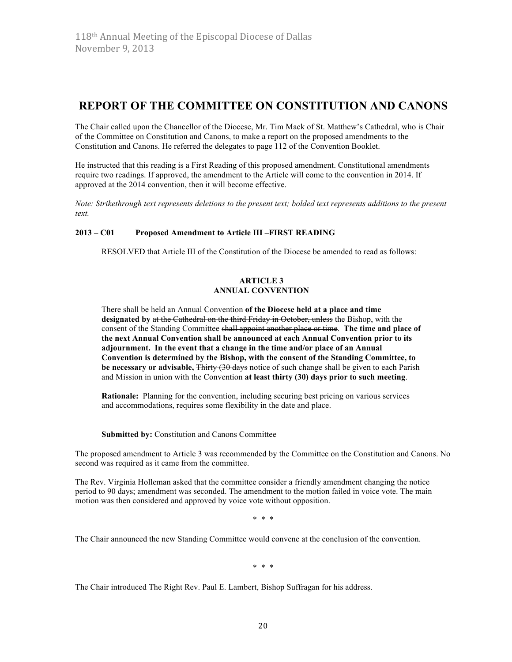# **REPORT OF THE COMMITTEE ON CONSTITUTION AND CANONS**

The Chair called upon the Chancellor of the Diocese, Mr. Tim Mack of St. Matthew's Cathedral, who is Chair of the Committee on Constitution and Canons, to make a report on the proposed amendments to the Constitution and Canons. He referred the delegates to page 112 of the Convention Booklet.

He instructed that this reading is a First Reading of this proposed amendment. Constitutional amendments require two readings. If approved, the amendment to the Article will come to the convention in 2014. If approved at the 2014 convention, then it will become effective.

*Note: Strikethrough text represents deletions to the present text; bolded text represents additions to the present text.*

#### **2013 – C01 Proposed Amendment to Article III –FIRST READING**

RESOLVED that Article III of the Constitution of the Diocese be amended to read as follows:

#### **ARTICLE 3 ANNUAL CONVENTION**

There shall be held an Annual Convention **of the Diocese held at a place and time designated by** at the Cathedral on the third Friday in October, unless the Bishop, with the consent of the Standing Committee shall appoint another place or time. **The time and place of the next Annual Convention shall be announced at each Annual Convention prior to its adjournment. In the event that a change in the time and/or place of an Annual Convention is determined by the Bishop, with the consent of the Standing Committee, to be necessary or advisable,** Thirty (30 days notice of such change shall be given to each Parish and Mission in union with the Convention **at least thirty (30) days prior to such meeting**.

**Rationale:** Planning for the convention, including securing best pricing on various services and accommodations, requires some flexibility in the date and place.

#### **Submitted by:** Constitution and Canons Committee

The proposed amendment to Article 3 was recommended by the Committee on the Constitution and Canons. No second was required as it came from the committee.

The Rev. Virginia Holleman asked that the committee consider a friendly amendment changing the notice period to 90 days; amendment was seconded. The amendment to the motion failed in voice vote. The main motion was then considered and approved by voice vote without opposition.

\* \* \*

The Chair announced the new Standing Committee would convene at the conclusion of the convention.

\* \* \*

The Chair introduced The Right Rev. Paul E. Lambert, Bishop Suffragan for his address.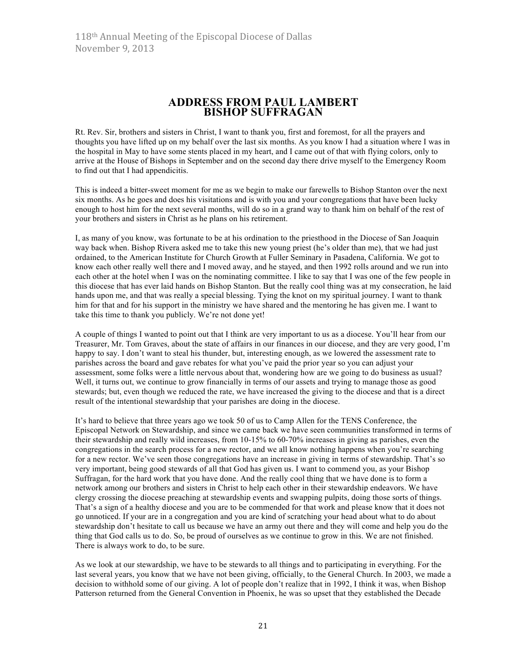# **ADDRESS FROM PAUL LAMBERT BISHOP SUFFRAGAN**

Rt. Rev. Sir, brothers and sisters in Christ, I want to thank you, first and foremost, for all the prayers and thoughts you have lifted up on my behalf over the last six months. As you know I had a situation where I was in the hospital in May to have some stents placed in my heart, and I came out of that with flying colors, only to arrive at the House of Bishops in September and on the second day there drive myself to the Emergency Room to find out that I had appendicitis.

This is indeed a bitter-sweet moment for me as we begin to make our farewells to Bishop Stanton over the next six months. As he goes and does his visitations and is with you and your congregations that have been lucky enough to host him for the next several months, will do so in a grand way to thank him on behalf of the rest of your brothers and sisters in Christ as he plans on his retirement.

I, as many of you know, was fortunate to be at his ordination to the priesthood in the Diocese of San Joaquin way back when. Bishop Rivera asked me to take this new young priest (he's older than me), that we had just ordained, to the American Institute for Church Growth at Fuller Seminary in Pasadena, California. We got to know each other really well there and I moved away, and he stayed, and then 1992 rolls around and we run into each other at the hotel when I was on the nominating committee. I like to say that I was one of the few people in this diocese that has ever laid hands on Bishop Stanton. But the really cool thing was at my consecration, he laid hands upon me, and that was really a special blessing. Tying the knot on my spiritual journey. I want to thank him for that and for his support in the ministry we have shared and the mentoring he has given me. I want to take this time to thank you publicly. We're not done yet!

A couple of things I wanted to point out that I think are very important to us as a diocese. You'll hear from our Treasurer, Mr. Tom Graves, about the state of affairs in our finances in our diocese, and they are very good, I'm happy to say. I don't want to steal his thunder, but, interesting enough, as we lowered the assessment rate to parishes across the board and gave rebates for what you've paid the prior year so you can adjust your assessment, some folks were a little nervous about that, wondering how are we going to do business as usual? Well, it turns out, we continue to grow financially in terms of our assets and trying to manage those as good stewards; but, even though we reduced the rate, we have increased the giving to the diocese and that is a direct result of the intentional stewardship that your parishes are doing in the diocese.

It's hard to believe that three years ago we took 50 of us to Camp Allen for the TENS Conference, the Episcopal Network on Stewardship, and since we came back we have seen communities transformed in terms of their stewardship and really wild increases, from 10-15% to 60-70% increases in giving as parishes, even the congregations in the search process for a new rector, and we all know nothing happens when you're searching for a new rector. We've seen those congregations have an increase in giving in terms of stewardship. That's so very important, being good stewards of all that God has given us. I want to commend you, as your Bishop Suffragan, for the hard work that you have done. And the really cool thing that we have done is to form a network among our brothers and sisters in Christ to help each other in their stewardship endeavors. We have clergy crossing the diocese preaching at stewardship events and swapping pulpits, doing those sorts of things. That's a sign of a healthy diocese and you are to be commended for that work and please know that it does not go unnoticed. If your are in a congregation and you are kind of scratching your head about what to do about stewardship don't hesitate to call us because we have an army out there and they will come and help you do the thing that God calls us to do. So, be proud of ourselves as we continue to grow in this. We are not finished. There is always work to do, to be sure.

As we look at our stewardship, we have to be stewards to all things and to participating in everything. For the last several years, you know that we have not been giving, officially, to the General Church. In 2003, we made a decision to withhold some of our giving. A lot of people don't realize that in 1992, I think it was, when Bishop Patterson returned from the General Convention in Phoenix, he was so upset that they established the Decade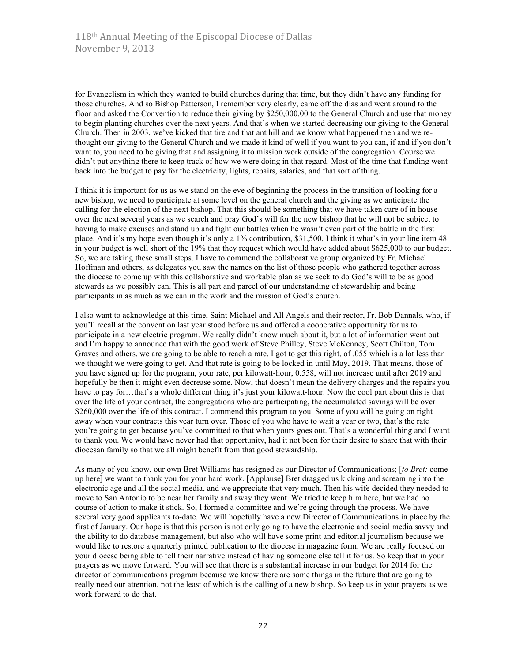for Evangelism in which they wanted to build churches during that time, but they didn't have any funding for those churches. And so Bishop Patterson, I remember very clearly, came off the dias and went around to the floor and asked the Convention to reduce their giving by \$250,000.00 to the General Church and use that money to begin planting churches over the next years. And that's when we started decreasing our giving to the General Church. Then in 2003, we've kicked that tire and that ant hill and we know what happened then and we rethought our giving to the General Church and we made it kind of well if you want to you can, if and if you don't want to, you need to be giving that and assigning it to mission work outside of the congregation. Course we didn't put anything there to keep track of how we were doing in that regard. Most of the time that funding went back into the budget to pay for the electricity, lights, repairs, salaries, and that sort of thing.

I think it is important for us as we stand on the eve of beginning the process in the transition of looking for a new bishop, we need to participate at some level on the general church and the giving as we anticipate the calling for the election of the next bishop. That this should be something that we have taken care of in house over the next several years as we search and pray God's will for the new bishop that he will not be subject to having to make excuses and stand up and fight our battles when he wasn't even part of the battle in the first place. And it's my hope even though it's only a 1% contribution, \$31,500, I think it what's in your line item 48 in your budget is well short of the 19% that they request which would have added about \$625,000 to our budget. So, we are taking these small steps. I have to commend the collaborative group organized by Fr. Michael Hoffman and others, as delegates you saw the names on the list of those people who gathered together across the diocese to come up with this collaborative and workable plan as we seek to do God's will to be as good stewards as we possibly can. This is all part and parcel of our understanding of stewardship and being participants in as much as we can in the work and the mission of God's church.

I also want to acknowledge at this time, Saint Michael and All Angels and their rector, Fr. Bob Dannals, who, if you'll recall at the convention last year stood before us and offered a cooperative opportunity for us to participate in a new electric program. We really didn't know much about it, but a lot of information went out and I'm happy to announce that with the good work of Steve Philley, Steve McKenney, Scott Chilton, Tom Graves and others, we are going to be able to reach a rate, I got to get this right, of .055 which is a lot less than we thought we were going to get. And that rate is going to be locked in until May, 2019. That means, those of you have signed up for the program, your rate, per kilowatt-hour, 0.558, will not increase until after 2019 and hopefully be then it might even decrease some. Now, that doesn't mean the delivery charges and the repairs you have to pay for…that's a whole different thing it's just your kilowatt-hour. Now the cool part about this is that over the life of your contract, the congregations who are participating, the accumulated savings will be over \$260,000 over the life of this contract. I commend this program to you. Some of you will be going on right away when your contracts this year turn over. Those of you who have to wait a year or two, that's the rate you're going to get because you've committed to that when yours goes out. That's a wonderful thing and I want to thank you. We would have never had that opportunity, had it not been for their desire to share that with their diocesan family so that we all might benefit from that good stewardship.

As many of you know, our own Bret Williams has resigned as our Director of Communications; [*to Bret:* come up here] we want to thank you for your hard work. [Applause] Bret dragged us kicking and screaming into the electronic age and all the social media, and we appreciate that very much. Then his wife decided they needed to move to San Antonio to be near her family and away they went. We tried to keep him here, but we had no course of action to make it stick. So, I formed a committee and we're going through the process. We have several very good applicants to-date. We will hopefully have a new Director of Communications in place by the first of January. Our hope is that this person is not only going to have the electronic and social media savvy and the ability to do database management, but also who will have some print and editorial journalism because we would like to restore a quarterly printed publication to the diocese in magazine form. We are really focused on your diocese being able to tell their narrative instead of having someone else tell it for us. So keep that in your prayers as we move forward. You will see that there is a substantial increase in our budget for 2014 for the director of communications program because we know there are some things in the future that are going to really need our attention, not the least of which is the calling of a new bishop. So keep us in your prayers as we work forward to do that.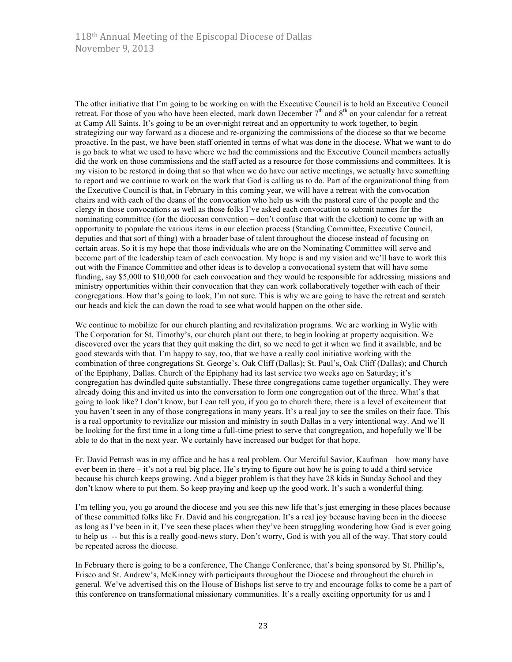The other initiative that I'm going to be working on with the Executive Council is to hold an Executive Council retreat. For those of you who have been elected, mark down December  $7<sup>th</sup>$  and  $8<sup>th</sup>$  on your calendar for a retreat at Camp All Saints. It's going to be an over-night retreat and an opportunity to work together, to begin strategizing our way forward as a diocese and re-organizing the commissions of the diocese so that we become proactive. In the past, we have been staff oriented in terms of what was done in the diocese. What we want to do is go back to what we used to have where we had the commissions and the Executive Council members actually did the work on those commissions and the staff acted as a resource for those commissions and committees. It is my vision to be restored in doing that so that when we do have our active meetings, we actually have something to report and we continue to work on the work that God is calling us to do. Part of the organizational thing from the Executive Council is that, in February in this coming year, we will have a retreat with the convocation chairs and with each of the deans of the convocation who help us with the pastoral care of the people and the clergy in those convocations as well as those folks I've asked each convocation to submit names for the nominating committee (for the diocesan convention – don't confuse that with the election) to come up with an opportunity to populate the various items in our election process (Standing Committee, Executive Council, deputies and that sort of thing) with a broader base of talent throughout the diocese instead of focusing on certain areas. So it is my hope that those individuals who are on the Nominating Committee will serve and become part of the leadership team of each convocation. My hope is and my vision and we'll have to work this out with the Finance Committee and other ideas is to develop a convocational system that will have some funding, say \$5,000 to \$10,000 for each convocation and they would be responsible for addressing missions and ministry opportunities within their convocation that they can work collaboratively together with each of their congregations. How that's going to look, I'm not sure. This is why we are going to have the retreat and scratch our heads and kick the can down the road to see what would happen on the other side.

We continue to mobilize for our church planting and revitalization programs. We are working in Wylie with The Corporation for St. Timothy's, our church plant out there, to begin looking at property acquisition. We discovered over the years that they quit making the dirt, so we need to get it when we find it available, and be good stewards with that. I'm happy to say, too, that we have a really cool initiative working with the combination of three congregations St. George's, Oak Cliff (Dallas); St. Paul's, Oak Cliff (Dallas); and Church of the Epiphany, Dallas. Church of the Epiphany had its last service two weeks ago on Saturday; it's congregation has dwindled quite substantially. These three congregations came together organically. They were already doing this and invited us into the conversation to form one congregation out of the three. What's that going to look like? I don't know, but I can tell you, if you go to church there, there is a level of excitement that you haven't seen in any of those congregations in many years. It's a real joy to see the smiles on their face. This is a real opportunity to revitalize our mission and ministry in south Dallas in a very intentional way. And we'll be looking for the first time in a long time a full-time priest to serve that congregation, and hopefully we'll be able to do that in the next year. We certainly have increased our budget for that hope.

Fr. David Petrash was in my office and he has a real problem. Our Merciful Savior, Kaufman – how many have ever been in there – it's not a real big place. He's trying to figure out how he is going to add a third service because his church keeps growing. And a bigger problem is that they have 28 kids in Sunday School and they don't know where to put them. So keep praying and keep up the good work. It's such a wonderful thing.

I'm telling you, you go around the diocese and you see this new life that's just emerging in these places because of these committed folks like Fr. David and his congregation. It's a real joy because having been in the diocese as long as I've been in it, I've seen these places when they've been struggling wondering how God is ever going to help us -- but this is a really good-news story. Don't worry, God is with you all of the way. That story could be repeated across the diocese.

In February there is going to be a conference, The Change Conference, that's being sponsored by St. Phillip's, Frisco and St. Andrew's, McKinney with participants throughout the Diocese and throughout the church in general. We've advertised this on the House of Bishops list serve to try and encourage folks to come be a part of this conference on transformational missionary communities. It's a really exciting opportunity for us and I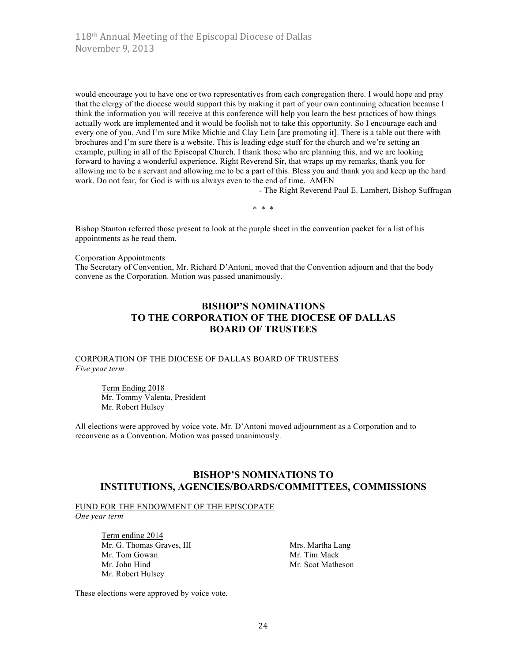would encourage you to have one or two representatives from each congregation there. I would hope and pray that the clergy of the diocese would support this by making it part of your own continuing education because I think the information you will receive at this conference will help you learn the best practices of how things actually work are implemented and it would be foolish not to take this opportunity. So I encourage each and every one of you. And I'm sure Mike Michie and Clay Lein [are promoting it]. There is a table out there with brochures and I'm sure there is a website. This is leading edge stuff for the church and we're setting an example, pulling in all of the Episcopal Church. I thank those who are planning this, and we are looking forward to having a wonderful experience. Right Reverend Sir, that wraps up my remarks, thank you for allowing me to be a servant and allowing me to be a part of this. Bless you and thank you and keep up the hard work. Do not fear, for God is with us always even to the end of time. AMEN

- The Right Reverend Paul E. Lambert, Bishop Suffragan

\* \* \*

Bishop Stanton referred those present to look at the purple sheet in the convention packet for a list of his appointments as he read them.

Corporation Appointments

The Secretary of Convention, Mr. Richard D'Antoni, moved that the Convention adjourn and that the body convene as the Corporation. Motion was passed unanimously.

# **BISHOP'S NOMINATIONS TO THE CORPORATION OF THE DIOCESE OF DALLAS BOARD OF TRUSTEES**

#### CORPORATION OF THE DIOCESE OF DALLAS BOARD OF TRUSTEES *Five year term*

Term Ending 2018 Mr. Tommy Valenta, President Mr. Robert Hulsey

All elections were approved by voice vote. Mr. D'Antoni moved adjournment as a Corporation and to reconvene as a Convention. Motion was passed unanimously.

### **BISHOP'S NOMINATIONS TO INSTITUTIONS, AGENCIES/BOARDS/COMMITTEES, COMMISSIONS**

#### FUND FOR THE ENDOWMENT OF THE EPISCOPATE

*One year term*

Term ending 2014 Mr. G. Thomas Graves, III Mrs. Martha Lang Mr. Tom Gowan Mr. Tim Mack Mr. John Hind Mr. Scot Matheson Mr. Robert Hulsey

These elections were approved by voice vote.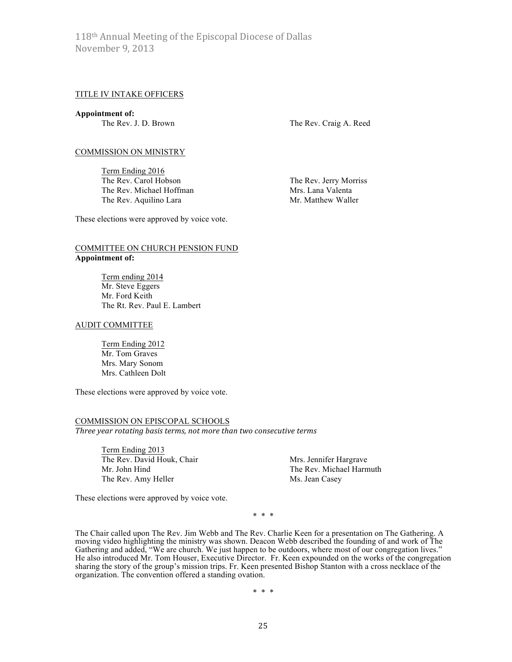#### TITLE IV INTAKE OFFICERS

**Appointment of:**

The Rev. J. D. Brown The Rev. Craig A. Reed

#### COMMISSION ON MINISTRY

Term Ending 2016 The Rev. Carol Hobson The Rev. Jerry Morriss The Rev. Michael Hoffman Mrs. Lana Valenta The Rev. Aquilino Lara Mr. Matthew Waller

These elections were approved by voice vote.

#### COMMITTEE ON CHURCH PENSION FUND **Appointment of:**

Term ending 2014 Mr. Steve Eggers Mr. Ford Keith The Rt. Rev. Paul E. Lambert

#### AUDIT COMMITTEE

Term Ending 2012 Mr. Tom Graves Mrs. Mary Sonom Mrs. Cathleen Dolt

These elections were approved by voice vote.

### COMMISSION ON EPISCOPAL SCHOOLS Three year rotating basis terms, not more than two consecutive terms

Term Ending 2013 The Rev. David Houk, Chair Mrs. Jennifer Hargrave Mr. John Hind The Rev. Michael Harmuth The Rev. Amy Heller Ms. Jean Casey

These elections were approved by voice vote.

\* \* \*

The Chair called upon The Rev. Jim Webb and The Rev. Charlie Keen for a presentation on The Gathering. A moving video highlighting the ministry was shown. Deacon Webb described the founding of and work of The Gathering and added, "We are church. We just happen to be outdoors, where most of our congregation lives." He also introduced Mr. Tom Houser, Executive Director. Fr. Keen expounded on the works of the congregation sharing the story of the group's mission trips. Fr. Keen presented Bishop Stanton with a cross necklace of the organization. The convention offered a standing ovation.

\* \* \*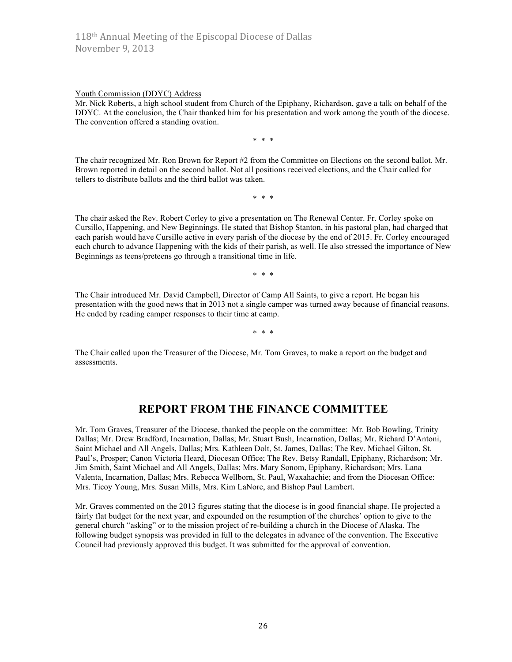#### Youth Commission (DDYC) Address

Mr. Nick Roberts, a high school student from Church of the Epiphany, Richardson, gave a talk on behalf of the DDYC. At the conclusion, the Chair thanked him for his presentation and work among the youth of the diocese. The convention offered a standing ovation.

\* \* \*

The chair recognized Mr. Ron Brown for Report #2 from the Committee on Elections on the second ballot. Mr. Brown reported in detail on the second ballot. Not all positions received elections, and the Chair called for tellers to distribute ballots and the third ballot was taken.

\* \* \*

The chair asked the Rev. Robert Corley to give a presentation on The Renewal Center. Fr. Corley spoke on Cursillo, Happening, and New Beginnings. He stated that Bishop Stanton, in his pastoral plan, had charged that each parish would have Cursillo active in every parish of the diocese by the end of 2015. Fr. Corley encouraged each church to advance Happening with the kids of their parish, as well. He also stressed the importance of New Beginnings as teens/preteens go through a transitional time in life.

\* \* \*

The Chair introduced Mr. David Campbell, Director of Camp All Saints, to give a report. He began his presentation with the good news that in 2013 not a single camper was turned away because of financial reasons. He ended by reading camper responses to their time at camp.

\* \* \*

The Chair called upon the Treasurer of the Diocese, Mr. Tom Graves, to make a report on the budget and assessments.

# **REPORT FROM THE FINANCE COMMITTEE**

Mr. Tom Graves, Treasurer of the Diocese, thanked the people on the committee: Mr. Bob Bowling, Trinity Dallas; Mr. Drew Bradford, Incarnation, Dallas; Mr. Stuart Bush, Incarnation, Dallas; Mr. Richard D'Antoni, Saint Michael and All Angels, Dallas; Mrs. Kathleen Dolt, St. James, Dallas; The Rev. Michael Gilton, St. Paul's, Prosper; Canon Victoria Heard, Diocesan Office; The Rev. Betsy Randall, Epiphany, Richardson; Mr. Jim Smith, Saint Michael and All Angels, Dallas; Mrs. Mary Sonom, Epiphany, Richardson; Mrs. Lana Valenta, Incarnation, Dallas; Mrs. Rebecca Wellborn, St. Paul, Waxahachie; and from the Diocesan Office: Mrs. Ticoy Young, Mrs. Susan Mills, Mrs. Kim LaNore, and Bishop Paul Lambert.

Mr. Graves commented on the 2013 figures stating that the diocese is in good financial shape. He projected a fairly flat budget for the next year, and expounded on the resumption of the churches' option to give to the general church "asking" or to the mission project of re-building a church in the Diocese of Alaska. The following budget synopsis was provided in full to the delegates in advance of the convention. The Executive Council had previously approved this budget. It was submitted for the approval of convention.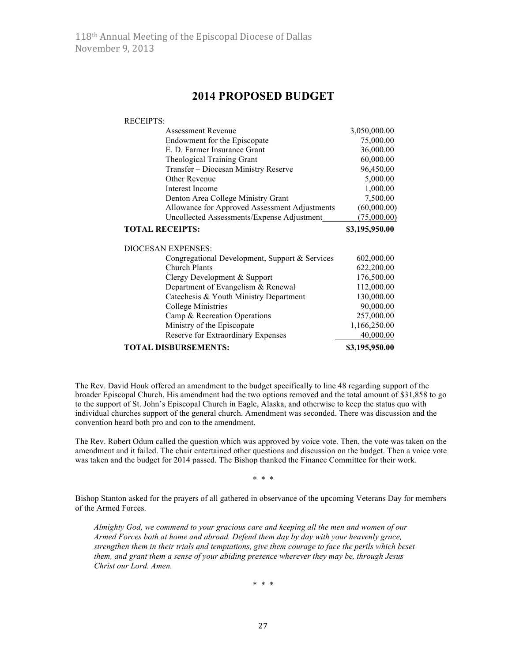# **2014 PROPOSED BUDGET**

RECEIPTS:

| <b>Assessment Revenue</b>                      | 3,050,000.00   |
|------------------------------------------------|----------------|
| Endowment for the Episcopate                   | 75,000.00      |
| E. D. Farmer Insurance Grant                   | 36,000.00      |
| Theological Training Grant                     | 60,000.00      |
| Transfer - Diocesan Ministry Reserve           | 96,450.00      |
| Other Revenue                                  | 5,000.00       |
| Interest Income                                | 1,000.00       |
| Denton Area College Ministry Grant             | 7,500.00       |
| Allowance for Approved Assessment Adjustments  | (60,000.00)    |
| Uncollected Assessments/Expense Adjustment     | (75,000.00)    |
| <b>TOTAL RECEIPTS:</b>                         | \$3,195,950.00 |
| <b>DIOCESAN EXPENSES:</b>                      |                |
| Congregational Development, Support & Services | 602,000.00     |
| <b>Church Plants</b>                           | 622,200.00     |
| Clergy Development & Support                   | 176,500.00     |
| Department of Evangelism & Renewal             | 112,000.00     |
| Catechesis & Youth Ministry Department         | 130,000.00     |
| College Ministries                             | 90,000.00      |
| Camp & Recreation Operations                   | 257,000.00     |
| Ministry of the Episcopate                     | 1,166,250.00   |
| Reserve for Extraordinary Expenses             | 40,000.00      |
| <b>TOTAL DISBURSEMENTS:</b>                    | \$3,195,950.00 |

The Rev. David Houk offered an amendment to the budget specifically to line 48 regarding support of the broader Episcopal Church. His amendment had the two options removed and the total amount of \$31,858 to go to the support of St. John's Episcopal Church in Eagle, Alaska, and otherwise to keep the status quo with individual churches support of the general church. Amendment was seconded. There was discussion and the convention heard both pro and con to the amendment.

The Rev. Robert Odum called the question which was approved by voice vote. Then, the vote was taken on the amendment and it failed. The chair entertained other questions and discussion on the budget. Then a voice vote was taken and the budget for 2014 passed. The Bishop thanked the Finance Committee for their work.

\* \* \*

Bishop Stanton asked for the prayers of all gathered in observance of the upcoming Veterans Day for members of the Armed Forces.

*Almighty God, we commend to your gracious care and keeping all the men and women of our Armed Forces both at home and abroad. Defend them day by day with your heavenly grace, strengthen them in their trials and temptations, give them courage to face the perils which beset them, and grant them a sense of your abiding presence wherever they may be, through Jesus Christ our Lord. Amen.*

\* \* \*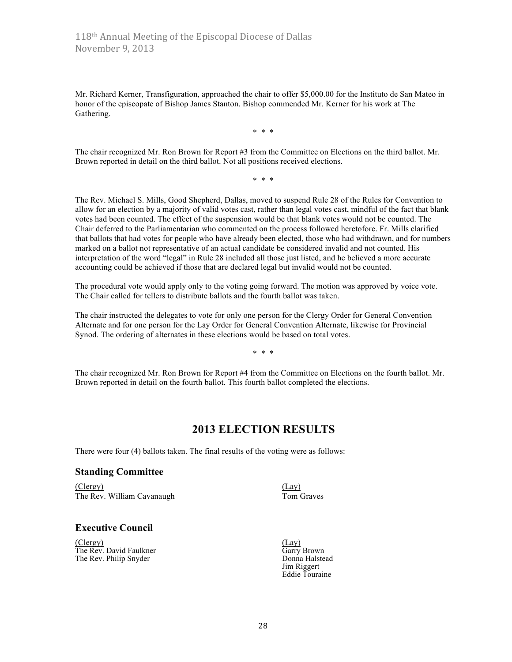Mr. Richard Kerner, Transfiguration, approached the chair to offer \$5,000.00 for the Instituto de San Mateo in honor of the episcopate of Bishop James Stanton. Bishop commended Mr. Kerner for his work at The Gathering.

\* \* \*

The chair recognized Mr. Ron Brown for Report #3 from the Committee on Elections on the third ballot. Mr. Brown reported in detail on the third ballot. Not all positions received elections.

\* \* \*

The Rev. Michael S. Mills, Good Shepherd, Dallas, moved to suspend Rule 28 of the Rules for Convention to allow for an election by a majority of valid votes cast, rather than legal votes cast, mindful of the fact that blank votes had been counted. The effect of the suspension would be that blank votes would not be counted. The Chair deferred to the Parliamentarian who commented on the process followed heretofore. Fr. Mills clarified that ballots that had votes for people who have already been elected, those who had withdrawn, and for numbers marked on a ballot not representative of an actual candidate be considered invalid and not counted. His interpretation of the word "legal" in Rule 28 included all those just listed, and he believed a more accurate accounting could be achieved if those that are declared legal but invalid would not be counted.

The procedural vote would apply only to the voting going forward. The motion was approved by voice vote. The Chair called for tellers to distribute ballots and the fourth ballot was taken.

The chair instructed the delegates to vote for only one person for the Clergy Order for General Convention Alternate and for one person for the Lay Order for General Convention Alternate, likewise for Provincial Synod. The ordering of alternates in these elections would be based on total votes.

\* \* \*

The chair recognized Mr. Ron Brown for Report #4 from the Committee on Elections on the fourth ballot. Mr. Brown reported in detail on the fourth ballot. This fourth ballot completed the elections.

# **2013 ELECTION RESULTS**

There were four (4) ballots taken. The final results of the voting were as follows:

#### **Standing Committee**

(Clergy) (Lay) The Rev. William Cavanaugh Tom Graves

#### **Executive Council**

(Clergy) (Lay)<br>
The Rev. David Faulkner (Clergy Brown) (Lay) The Rev. David Faulkner<br>
The Rev. Philip Snyder<br>
The Rev. Philip Snyder The Rev. Philip Snyder

Jim Riggert Eddie Touraine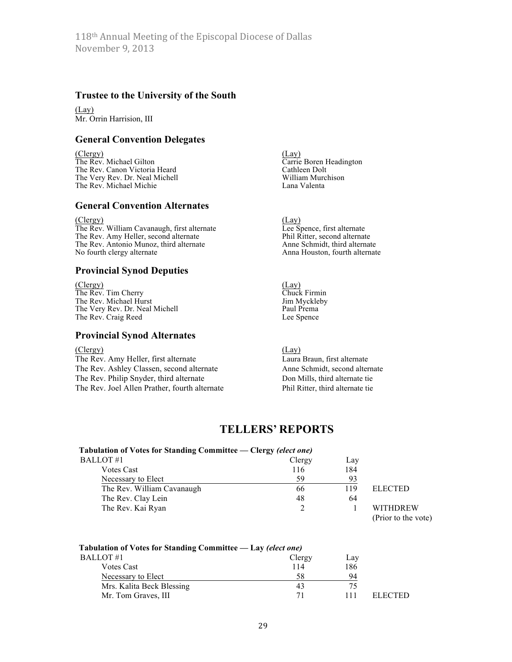#### **Trustee to the University of the South**

(Lay) Mr. Orrin Harrision, III

### **General Convention Delegates**

(Clergy) (Lay)<br>The Rev. Michael Gilton (Carrie The Rev. Canon Victoria Heard Cathleen Dolt<br>
The Very Rev. Dr. Neal Michell William Murchison The Very Rev. Dr. Neal Michell William Murchison and William Murchison and William Murchison and William Murch<br>The Rev. Michael Michie The Rev. Michael Michie

#### **General Convention Alternates**

(Clergy) (Lay)

The Rev. William Cavanaugh, first alternate Lee Spence, first alternate The Rev. Amy Heller, second alternate<br>
The Rev. Antonio Munoz, third alternate<br>
Anne Schmidt, third alternate The Rev. Antonio Munoz, third alternate No fourth clergy alternate

#### **Provincial Synod Deputies**

(Clergy) (Lay)<br>The Rev. Tim Cherry Chuck Firmin The Rev. Tim Cherry Chuck Firmin<br>
The Rev. Michael Hurst Chuck Firmin<br>
Um Myckleby The Rev. Michael Hurst Jim Myckle<br>The Very Rev. Dr. Neal Michell **Frank Paul Prema** The Very Rev. Dr. Neal Michell Paul Prema<br>
The Rev. Craig Reed Lee Spence The Rev. Craig Reed

### **Provincial Synod Alternates**

#### (Clergy) (Lay)

The Rev. Amy Heller, first alternate Laura Braun, first alternate The Rev. Ashley Classen, second alternate Anne Schmidt, second alternate The Rev. Philip Snyder, third alternate Don Mills, third alternate tie The Rev. Joel Allen Prather, fourth alternate Phil Ritter, third alternate tie

Carrie Boren Headington<br>Cathleen Dolt

Anna Houston, fourth alternate

# **TELLERS' REPORTS**

#### **Tabulation of Votes for Standing Committee — Clergy** *(elect one)* BALLOT #1 Clergy Lay

| 2 D O 1 7 1 7 1 1          | $C_{1}C_{1} \subset V$ | <b>Luv</b> |                |
|----------------------------|------------------------|------------|----------------|
| Votes Cast                 | 116                    | 184        |                |
| Necessary to Elect         | 59                     |            |                |
| The Rev. William Cavanaugh | 66                     | 119        | <b>ELECTED</b> |
| The Rev. Clay Lein         | 48                     | 64         |                |
| The Rev. Kai Ryan          |                        |            | <b>WITHDRF</b> |
|                            |                        |            |                |

WITHDREW (Prior to the vote)

#### **Tabulation of Votes for Standing Committee — Lay** *(elect one)*

| Clergy | Lay |         |
|--------|-----|---------|
| 114    | 186 |         |
| 58     | 94  |         |
| 43     | 75  |         |
| 71     | 111 | ELECTED |
|        |     |         |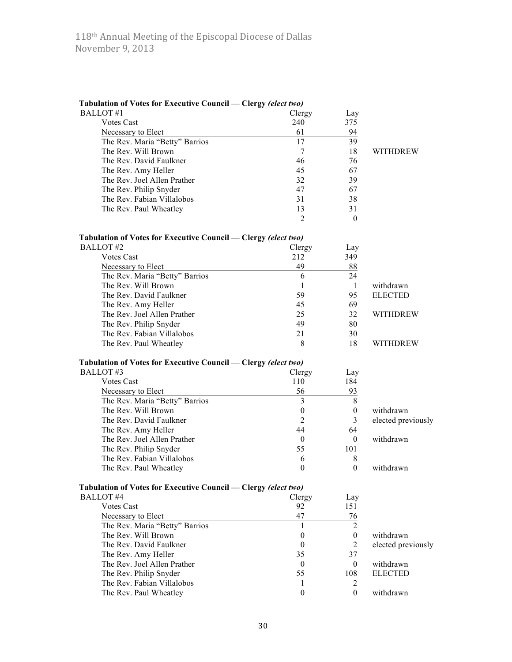| Tabulation of Votes for Executive Council - Clergy (elect two) |                  |                  |                    |
|----------------------------------------------------------------|------------------|------------------|--------------------|
| <b>BALLOT#1</b>                                                | Clergy           | Lay              |                    |
| <b>Votes Cast</b>                                              | 240              | 375              |                    |
| Necessary to Elect                                             | 61               | 94               |                    |
| The Rev. Maria "Betty" Barrios                                 | 17               | 39               |                    |
| The Rev. Will Brown                                            | 7                | 18               | <b>WITHDREW</b>    |
| The Rev. David Faulkner                                        | 46               | 76               |                    |
| The Rev. Amy Heller                                            | 45               | 67               |                    |
| The Rev. Joel Allen Prather                                    | 32               | 39               |                    |
| The Rev. Philip Snyder                                         | 47               | 67               |                    |
| The Rev. Fabian Villalobos                                     | 31               | 38               |                    |
| The Rev. Paul Wheatley                                         | 13               | 31               |                    |
|                                                                | 2                | $\theta$         |                    |
| Tabulation of Votes for Executive Council — Clergy (elect two) |                  |                  |                    |
| <b>BALLOT</b> #2                                               | Clergy           | Lay              |                    |
| <b>Votes Cast</b>                                              | 212              | 349              |                    |
| Necessary to Elect                                             | 49               | 88               |                    |
| The Rev. Maria "Betty" Barrios                                 | 6                | 24               |                    |
| The Rev. Will Brown                                            | 1                | -1               | withdrawn          |
| The Rev. David Faulkner                                        | 59               | 95               | <b>ELECTED</b>     |
| The Rev. Amy Heller                                            | 45               | 69               |                    |
| The Rev. Joel Allen Prather                                    | 25               | 32               | <b>WITHDREW</b>    |
| The Rev. Philip Snyder                                         | 49               | 80               |                    |
| The Rev. Fabian Villalobos                                     | 21               | 30               |                    |
| The Rev. Paul Wheatley                                         | 8                | 18               | <b>WITHDREW</b>    |
| Tabulation of Votes for Executive Council - Clergy (elect two) |                  |                  |                    |
| <b>BALLOT#3</b>                                                | Clergy           | Lay              |                    |
| <b>Votes Cast</b>                                              | 110              | 184              |                    |
| Necessary to Elect                                             | 56               | 93               |                    |
| The Rev. Maria "Betty" Barrios                                 | 3                | 8                |                    |
| The Rev. Will Brown                                            | $\boldsymbol{0}$ | $\boldsymbol{0}$ | withdrawn          |
| The Rev. David Faulkner                                        | $\overline{2}$   | 3                | elected previously |
| The Rev. Amy Heller                                            | 44               | 64               |                    |
| The Rev. Joel Allen Prather                                    | 0                | $\mathbf{0}$     | withdrawn          |
| The Rev. Philip Snyder                                         | 55               | 101              |                    |
| The Rev. Fabian Villalobos                                     | 6                | 8                |                    |
| The Rev. Paul Wheatley                                         | $\boldsymbol{0}$ | $\mathbf{0}$     | withdrawn          |
|                                                                |                  |                  |                    |
| Tabulation of Votes for Executive Council — Clergy (elect two) |                  |                  |                    |
| <b>BALLOT#4</b>                                                | Clergy           | Lay              |                    |
| <b>Votes Cast</b>                                              | 92               | 151              |                    |
| Necessary to Elect                                             | 47               | 76               |                    |
| The Rev. Maria "Betty" Barrios                                 | 1                | $\overline{2}$   |                    |
| The Rev. Will Brown                                            | $\boldsymbol{0}$ | $\boldsymbol{0}$ | withdrawn          |
| The Rev. David Faulkner                                        | $\boldsymbol{0}$ | $\overline{2}$   | elected previously |
| The Rev. Amy Heller                                            | 35               | 37               |                    |
| The Rev. Joel Allen Prather                                    | $\mathbf{0}$     | $\mathbf{0}$     | withdrawn          |
| The Rev. Philip Snyder                                         | 55               | 108              | <b>ELECTED</b>     |
| The Rev. Fabian Villalobos                                     | 1                | 2                |                    |
| The Rev. Paul Wheatley                                         | $\mathbf{0}$     | $\mathbf{0}$     | withdrawn          |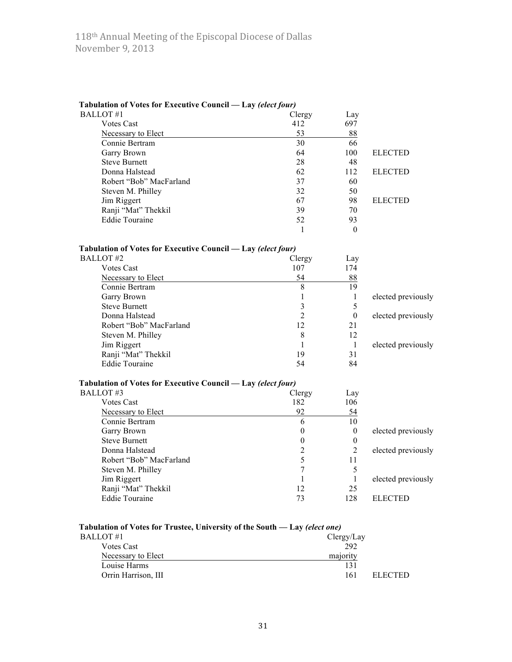| Tabulation of Votes for Executive Council - Lay (elect four)               |                  |                  |                    |
|----------------------------------------------------------------------------|------------------|------------------|--------------------|
| <b>BALLOT#1</b>                                                            | Clergy           | Lay              |                    |
| <b>Votes Cast</b>                                                          | 412              | 697              |                    |
| Necessary to Elect                                                         | 53               | 88               |                    |
| Connie Bertram                                                             | 30               | 66               |                    |
| Garry Brown                                                                | 64               | 100              | <b>ELECTED</b>     |
| <b>Steve Burnett</b>                                                       | 28               | 48               |                    |
| Donna Halstead                                                             | 62               | 112              | <b>ELECTED</b>     |
| Robert "Bob" MacFarland                                                    | 37               | 60               |                    |
| Steven M. Philley                                                          | 32               | 50               |                    |
| Jim Riggert                                                                | 67               | 98               | <b>ELECTED</b>     |
| Ranji "Mat" Thekkil                                                        | 39               | 70               |                    |
| <b>Eddie Touraine</b>                                                      | 52               | 93               |                    |
|                                                                            | 1                | $\theta$         |                    |
| Tabulation of Votes for Executive Council — Lay (elect four)               |                  |                  |                    |
| <b>BALLOT#2</b>                                                            | Clergy           | Lay              |                    |
| <b>Votes Cast</b>                                                          | 107              | 174              |                    |
| Necessary to Elect                                                         | 54               | 88               |                    |
| Connie Bertram                                                             | 8                | 19               |                    |
| Garry Brown                                                                | 1                | 1                | elected previously |
| <b>Steve Burnett</b>                                                       | $\overline{3}$   | 5                |                    |
| Donna Halstead                                                             | $\overline{2}$   | $\boldsymbol{0}$ | elected previously |
| Robert "Bob" MacFarland                                                    | 12               | 21               |                    |
| Steven M. Philley                                                          | 8                | 12               |                    |
| Jim Riggert                                                                | $\mathbf{1}$     | $\mathbf{1}$     | elected previously |
| Ranji "Mat" Thekkil                                                        | 19               | 31               |                    |
| <b>Eddie Touraine</b>                                                      | 54               | 84               |                    |
| Tabulation of Votes for Executive Council — Lay (elect four)               |                  |                  |                    |
| BALLOT#3                                                                   | Clergy           | Lay              |                    |
| <b>Votes Cast</b>                                                          | 182              | 106              |                    |
| Necessary to Elect                                                         | 92               | 54               |                    |
| Connie Bertram                                                             | 6                | 10               |                    |
| Garry Brown                                                                | $\theta$         | $\boldsymbol{0}$ | elected previously |
| <b>Steve Burnett</b>                                                       | $\boldsymbol{0}$ | $\boldsymbol{0}$ |                    |
| Donna Halstead                                                             | $\overline{2}$   | $\overline{2}$   | elected previously |
| Robert "Bob" MacFarland                                                    | 5                | 11               |                    |
| Steven M. Philley                                                          | 7                | 5                |                    |
| Jim Riggert                                                                | $\mathbf{1}$     | $\mathbf{1}$     | elected previously |
| Ranji "Mat" Thekkil                                                        | 12               | 25               |                    |
| <b>Eddie Touraine</b>                                                      | 73               | 128              | <b>ELECTED</b>     |
|                                                                            |                  |                  |                    |
| Tabulation of Votes for Trustee, University of the South — Lay (elect one) |                  |                  |                    |
| $RATI$ OT $\#1$                                                            |                  | $Clerov/L$ av    |                    |

| BALLOT #1           | Clergy/Lay     |  |
|---------------------|----------------|--|
| <b>Votes Cast</b>   | 292            |  |
| Necessary to Elect  | majority       |  |
| Louise Harms        |                |  |
| Orrin Harrison, III | ELECTED<br>161 |  |
|                     |                |  |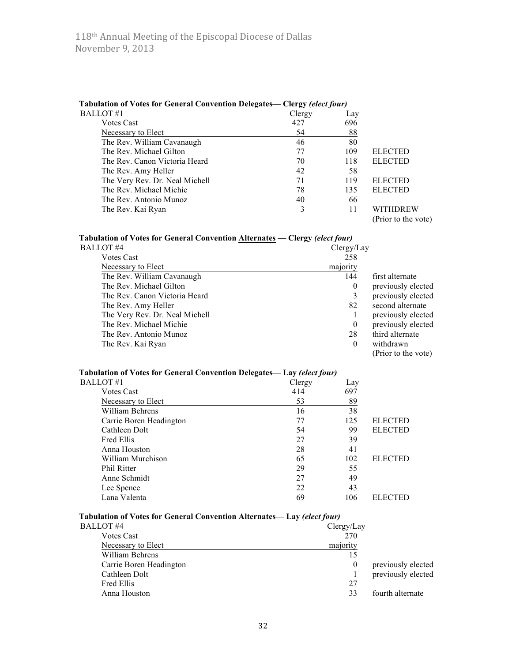| Tabulation of Votes for General Convention Delegates— Clergy <i>(elect four)</i> |        |     |                     |
|----------------------------------------------------------------------------------|--------|-----|---------------------|
| BALLOT #1                                                                        | Clergy | Lay |                     |
| <b>Votes Cast</b>                                                                | 427    | 696 |                     |
| Necessary to Elect                                                               | 54     | 88  |                     |
| The Rev. William Cavanaugh                                                       | 46     | 80  |                     |
| The Rev. Michael Gilton                                                          | 77     | 109 | <b>ELECTED</b>      |
| The Rev. Canon Victoria Heard                                                    | 70     | 118 | <b>ELECTED</b>      |
| The Rev. Amy Heller                                                              | 42     | 58  |                     |
| The Very Rev. Dr. Neal Michell                                                   | 71     | 119 | <b>ELECTED</b>      |
| The Rev. Michael Michie                                                          | 78     | 135 | <b>ELECTED</b>      |
| The Rev. Antonio Munoz                                                           | 40     | 66  |                     |
| The Rev. Kai Ryan                                                                |        | 11  | <b>WITHDREW</b>     |
|                                                                                  |        |     | (Prior to the vote) |

#### **Tabulation of Votes for General Convention Delegates— Clergy** *(elect four)*

#### **Tabulation of Votes for General Convention Alternates — Clergy** *(elect four)*

| BALLOT #4                      | Clergy/Lay |                     |
|--------------------------------|------------|---------------------|
| <b>Votes Cast</b>              | 258        |                     |
| Necessary to Elect             | majority   |                     |
| The Rev. William Cavanaugh     | 144        | first alternate     |
| The Rev. Michael Gilton        | $\theta$   | previously elected  |
| The Rev. Canon Victoria Heard  | 3          | previously elected  |
| The Rev. Amy Heller            | 82         | second alternate    |
| The Very Rev. Dr. Neal Michell |            | previously elected  |
| The Rev. Michael Michie        | $\bf{0}$   | previously elected  |
| The Rev. Antonio Munoz         | 28         | third alternate     |
| The Rev. Kai Ryan              | $\theta$   | withdrawn           |
|                                |            | (Prior to the vote) |
|                                |            |                     |

#### **Tabulation of Votes for General Convention Delegates— Lay** *(elect four)*

| BALLOT #1               | Clergy | Lay |                |
|-------------------------|--------|-----|----------------|
| <b>Votes Cast</b>       | 414    | 697 |                |
| Necessary to Elect      | 53     | 89  |                |
| William Behrens         | 16     | 38  |                |
| Carrie Boren Headington | 77     | 125 | <b>ELECTED</b> |
| Cathleen Dolt           | 54     | 99  | <b>ELECTED</b> |
| Fred Ellis              | 27     | 39  |                |
| Anna Houston            | 28     | 41  |                |
| William Murchison       | 65     | 102 | <b>ELECTED</b> |
| <b>Phil Ritter</b>      | 29     | 55  |                |
| Anne Schmidt            | 27     | 49  |                |
| Lee Spence              | 22     | 43  |                |
| Lana Valenta            | 69     | 106 | <b>ELECTED</b> |

# **Tabulation of Votes for General Convention Alternates— Lay** *(elect four)*

| BALLOT #4               | Clergy/Lay |                    |
|-------------------------|------------|--------------------|
| <b>Votes Cast</b>       | 270        |                    |
| Necessary to Elect      | majority   |                    |
| William Behrens         |            |                    |
| Carrie Boren Headington | $\bf{0}$   | previously elected |
| Cathleen Dolt           |            | previously elected |
| Fred Ellis              | 27         |                    |
| Anna Houston            | 33         | fourth alternate   |
|                         |            |                    |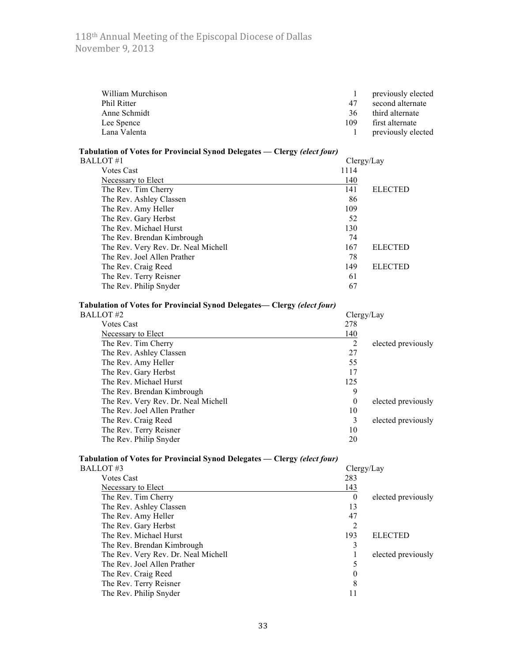| William Murchison  |     | previously elected |
|--------------------|-----|--------------------|
| <b>Phil Ritter</b> | 47  | second alternate   |
| Anne Schmidt       | 36  | third alternate    |
| Lee Spence         | 109 | first alternate    |
| Lana Valenta       |     | previously elected |

| Tabulation of Votes for Provincial Synod Delegates — Clergy (elect four) |            |                |
|--------------------------------------------------------------------------|------------|----------------|
| <b>BALLOT</b> #1                                                         | Clergy/Lay |                |
| <b>Votes Cast</b>                                                        | 1114       |                |
| Necessary to Elect                                                       | 140        |                |
| The Rev. Tim Cherry                                                      | 141        | <b>ELECTED</b> |
| The Rev. Ashley Classen                                                  | 86         |                |
| The Rev. Amy Heller                                                      | 109        |                |
| The Rev. Gary Herbst                                                     | 52         |                |
| The Rev. Michael Hurst                                                   | 130        |                |
| The Rev. Brendan Kimbrough                                               | 74         |                |
| The Rev. Very Rev. Dr. Neal Michell                                      | 167        | <b>ELECTED</b> |
| The Rev. Joel Allen Prather                                              | 78         |                |
| The Rev. Craig Reed                                                      | 149        | <b>ELECTED</b> |
| The Rev. Terry Reisner                                                   | 61         |                |
| The Rev. Philip Snyder                                                   | 67         |                |

# **Tabulation of Votes for Provincial Synod Delegates— Clergy** *(elect four)*

| BALLOT #2                           | Clergy/Lay |                    |
|-------------------------------------|------------|--------------------|
| <b>Votes Cast</b>                   | 278        |                    |
| Necessary to Elect                  | 140        |                    |
| The Rev. Tim Cherry                 | 2          | elected previously |
| The Rev. Ashley Classen             | 27         |                    |
| The Rev. Amy Heller                 | 55         |                    |
| The Rev. Gary Herbst                | 17         |                    |
| The Rev. Michael Hurst              | 125        |                    |
| The Rev. Brendan Kimbrough          | 9          |                    |
| The Rev. Very Rev. Dr. Neal Michell | $\Omega$   | elected previously |
| The Rev. Joel Allen Prather         | 10         |                    |
| The Rev. Craig Reed                 | 3          | elected previously |
| The Rev. Terry Reisner              | 10         |                    |
| The Rev. Philip Snyder              | 20         |                    |
|                                     |            |                    |

# **Tabulation of Votes for Provincial Synod Delegates — Clergy** *(elect four)*

| BALLOT #3                           | Clergy/Lay |                    |
|-------------------------------------|------------|--------------------|
| <b>Votes Cast</b>                   | 283        |                    |
| Necessary to Elect                  | 143        |                    |
| The Rev. Tim Cherry                 | $\theta$   | elected previously |
| The Rev. Ashley Classen             | 13         |                    |
| The Rev. Amy Heller                 | 47         |                    |
| The Rev. Gary Herbst                | 2          |                    |
| The Rev. Michael Hurst              | 193        | <b>ELECTED</b>     |
| The Rev. Brendan Kimbrough          |            |                    |
| The Rev. Very Rev. Dr. Neal Michell |            | elected previously |
| The Rev. Joel Allen Prather         |            |                    |
| The Rev. Craig Reed                 | 0          |                    |
| The Rev. Terry Reisner              | 8          |                    |
| The Rev. Philip Snyder              |            |                    |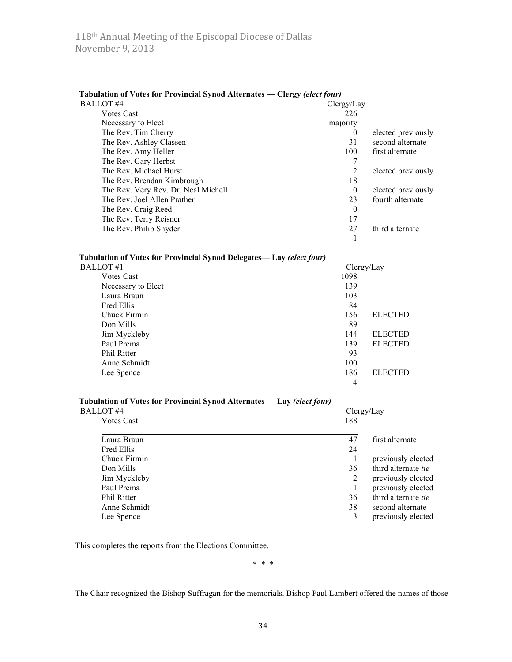| <b>Tabulation of Votes for Provincial Synod Alternates — Clergy (elect four)</b> |            |                    |
|----------------------------------------------------------------------------------|------------|--------------------|
| BALLOT#4                                                                         | Clergy/Lay |                    |
| <b>Votes Cast</b>                                                                | 226        |                    |
| Necessary to Elect                                                               | majority   |                    |
| The Rev. Tim Cherry                                                              | $\theta$   | elected previously |
| The Rev. Ashley Classen                                                          | 31         | second alternate   |
| The Rev. Amy Heller                                                              | 100        | first alternate    |
| The Rev. Gary Herbst                                                             |            |                    |
| The Rev. Michael Hurst                                                           | 2          | elected previously |
| The Rev. Brendan Kimbrough                                                       | 18         |                    |
| The Rev. Very Rev. Dr. Neal Michell                                              | $\theta$   | elected previously |
| The Rev. Joel Allen Prather                                                      | 23         | fourth alternate   |
| The Rev. Craig Reed                                                              | $\Omega$   |                    |
| The Rev. Terry Reisner                                                           | 17         |                    |
| The Rev. Philip Snyder                                                           | 27         | third alternate    |
|                                                                                  |            |                    |

#### **Tabulation of Votes for Provincial Synod Delegates— Lay** *(elect four)*

| BALLOT #1                 |      | Clergy/Lay     |
|---------------------------|------|----------------|
| <b>Votes Cast</b>         | 1098 |                |
| <b>Necessary to Elect</b> | 139  |                |
| Laura Braun               | 103  |                |
| <b>Fred Ellis</b>         | 84   |                |
| Chuck Firmin              | 156  | <b>ELECTED</b> |
| Don Mills                 | 89   |                |
| Jim Myckleby              | 144  | <b>ELECTED</b> |
| Paul Prema                | 139  | <b>ELECTED</b> |
| <b>Phil Ritter</b>        | 93   |                |
| Anne Schmidt              | 100  |                |
| Lee Spence                | 186  | <b>ELECTED</b> |
|                           | 4    |                |

#### **Tabulation of Votes for Provincial Synod Alternates — Lay** *(elect four)*

| BALLOT #4          | Clergy/Lay                       |
|--------------------|----------------------------------|
| <b>Votes Cast</b>  | 188                              |
| Laura Braun        | 47<br>first alternate            |
| Fred Ellis         | 24                               |
| Chuck Firmin       | previously elected               |
| Don Mills          | third alternate <i>tie</i><br>36 |
| Jim Myckleby       | previously elected<br>2          |
| Paul Prema         | previously elected               |
| <b>Phil Ritter</b> | third alternate tie<br>36        |
| Anne Schmidt       | 38<br>second alternate           |
| Lee Spence         | previously elected               |

This completes the reports from the Elections Committee.

\* \* \*

The Chair recognized the Bishop Suffragan for the memorials. Bishop Paul Lambert offered the names of those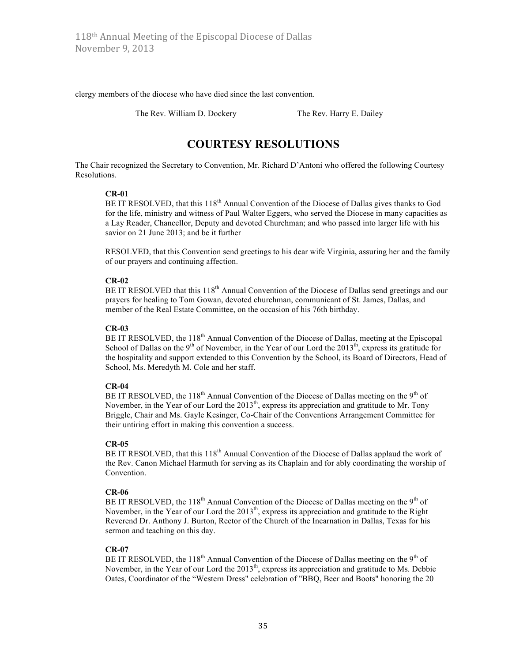clergy members of the diocese who have died since the last convention.

The Rev. William D. Dockery The Rev. Harry E. Dailey

# **COURTESY RESOLUTIONS**

The Chair recognized the Secretary to Convention, Mr. Richard D'Antoni who offered the following Courtesy Resolutions.

#### **CR-01**

BE IT RESOLVED, that this 118<sup>th</sup> Annual Convention of the Diocese of Dallas gives thanks to God for the life, ministry and witness of Paul Walter Eggers, who served the Diocese in many capacities as a Lay Reader, Chancellor, Deputy and devoted Churchman; and who passed into larger life with his savior on 21 June 2013; and be it further

RESOLVED, that this Convention send greetings to his dear wife Virginia, assuring her and the family of our prayers and continuing affection.

#### **CR-02**

BE IT RESOLVED that this 118<sup>th</sup> Annual Convention of the Diocese of Dallas send greetings and our prayers for healing to Tom Gowan, devoted churchman, communicant of St. James, Dallas, and member of the Real Estate Committee, on the occasion of his 76th birthday.

#### **CR-03**

BE IT RESOLVED, the 118<sup>th</sup> Annual Convention of the Diocese of Dallas, meeting at the Episcopal School of Dallas on the 9<sup>th</sup> of November, in the Year of our Lord the  $2013<sup>th</sup>$ , express its gratitude for the hospitality and support extended to this Convention by the School, its Board of Directors, Head of School, Ms. Meredyth M. Cole and her staff.

#### **CR-04**

BE IT RESOLVED, the 118<sup>th</sup> Annual Convention of the Diocese of Dallas meeting on the 9<sup>th</sup> of November, in the Year of our Lord the  $2013<sup>th</sup>$ , express its appreciation and gratitude to Mr. Tony Briggle, Chair and Ms. Gayle Kesinger, Co-Chair of the Conventions Arrangement Committee for their untiring effort in making this convention a success.

#### **CR-05**

BE IT RESOLVED, that this 118<sup>th</sup> Annual Convention of the Diocese of Dallas applaud the work of the Rev. Canon Michael Harmuth for serving as its Chaplain and for ably coordinating the worship of Convention.

#### **CR-06**

BE IT RESOLVED, the 118<sup>th</sup> Annual Convention of the Diocese of Dallas meeting on the 9<sup>th</sup> of November, in the Year of our Lord the 2013<sup>th</sup>, express its appreciation and gratitude to the Right Reverend Dr. Anthony J. Burton, Rector of the Church of the Incarnation in Dallas, Texas for his sermon and teaching on this day.

#### **CR-07**

BE IT RESOLVED, the 118<sup>th</sup> Annual Convention of the Diocese of Dallas meeting on the 9<sup>th</sup> of November, in the Year of our Lord the 2013<sup>th</sup>, express its appreciation and gratitude to Ms. Debbie Oates, Coordinator of the "Western Dress" celebration of "BBQ, Beer and Boots" honoring the 20